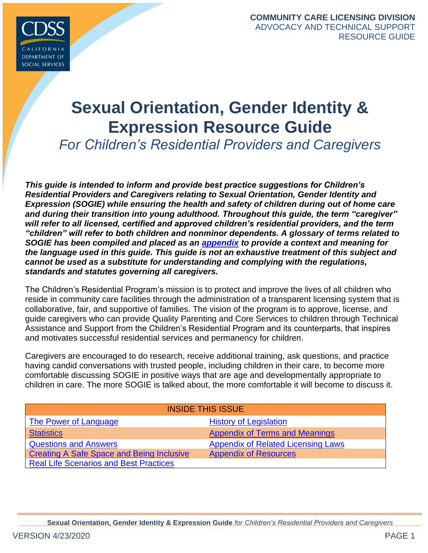

# **Sexual Orientation, Gender Identity & Expression Resource Guide**

*For Children's Residential Providers and Caregivers* 

*This guide is intended to inform and provide best practice suggestions for Children's Residential Providers and Caregivers relating to Sexual Orientation, Gender Identity and Expression (SOGIE) while ensuring the health and safety of children during out of home care and during their transition into young adulthood. Throughout this guide, the term "caregiver" will refer to all licensed, certified and approved children's residential providers, and the term "children" will refer to both children and nonminor dependents. A glossary of terms related to SOGIE has been compiled and placed as an [appendix](#page-19-0) to provide a context and meaning for the language used in this guide. This guide is not an exhaustive treatment of this subject and cannot be used as a substitute for understanding and complying with the regulations, standards and statutes governing all caregivers.*

The Children's Residential Program's mission is to protect and improve the lives of all children who reside in community care facilities through the administration of a transparent licensing system that is collaborative, fair, and supportive of families. The vision of the program is to approve, license, and guide caregivers who can provide Quality Parenting and Core Services to children through Technical Assistance and Support from the Children's Residential Program and its counterparts, that inspires and motivates successful residential services and permanency for children.

Caregivers are encouraged to do research, receive additional training, ask questions, and practice having candid conversations with trusted people, including children in their care, to become more comfortable discussing SOGIE in positive ways that are age and developmentally appropriate to children in care. The more SOGIE is talked about, the more comfortable it will become to discuss it.

<span id="page-0-0"></span>

| <b>INSIDE THIS ISSUE</b>                         |                                           |  |
|--------------------------------------------------|-------------------------------------------|--|
| The Power of Language                            | <b>History of Legislation</b>             |  |
| <b>Statistics</b>                                | <b>Appendix of Terms and Meanings</b>     |  |
| <b>Questions and Answers</b>                     | <b>Appendix of Related Licensing Laws</b> |  |
| <b>Creating A Safe Space and Being Inclusive</b> | <b>Appendix of Resources</b>              |  |
| <b>Real Life Scenarios and Best Practices</b>    |                                           |  |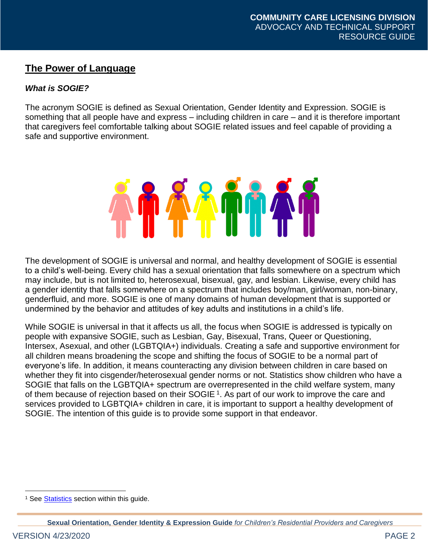# **The Power of Language**

# *What is SOGIE?*

The acronym SOGIE is defined as Sexual Orientation, Gender Identity and Expression. SOGIE is something that all people have and express – including children in care – and it is therefore important that caregivers feel comfortable talking about SOGIE related issues and feel capable of providing a safe and supportive environment.



The development of SOGIE is universal and normal, and healthy development of SOGIE is essential to a child's well-being. Every child has a sexual orientation that falls somewhere on a spectrum which may include, but is not limited to, heterosexual, bisexual, gay, and lesbian. Likewise, every child has a gender identity that falls somewhere on a spectrum that includes boy/man, girl/woman, non-binary, genderfluid, and more. SOGIE is one of many domains of human development that is supported or undermined by the behavior and attitudes of key adults and institutions in a child's life.

While SOGIE is universal in that it affects us all, the focus when SOGIE is addressed is typically on people with expansive SOGIE, such as Lesbian, Gay, Bisexual, Trans, Queer or Questioning, Intersex, Asexual, and other (LGBTQIA+) individuals. Creating a safe and supportive environment for all children means broadening the scope and shifting the focus of SOGIE to be a normal part of everyone's life. In addition, it means counteracting any division between children in care based on whether they fit into cisgender/heterosexual gender norms or not. Statistics show children who have a SOGIE that falls on the LGBTQIA+ spectrum are overrepresented in the child welfare system, many of them because of rejection based on their SOGIE<sup>1</sup>. As part of our work to improve the care and services provided to LGBTQIA+ children in care, it is important to support a healthy development of SOGIE. The intention of this guide is to provide some support in that endeavor.

<sup>&</sup>lt;sup>1</sup> See **Statistics** section within this guide.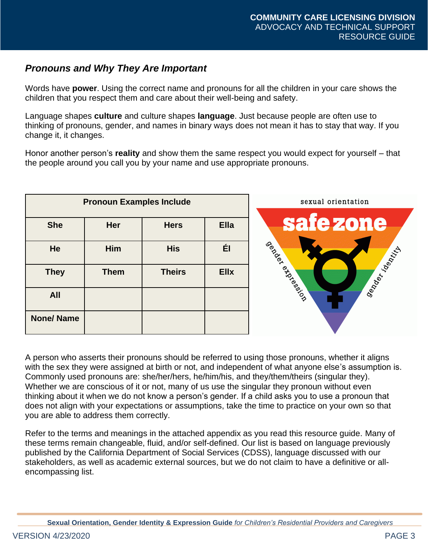# *Pronouns and Why They Are Important*

Words have **power**. Using the correct name and pronouns for all the children in your care shows the children that you respect them and care about their well-being and safety.

Language shapes **culture** and culture shapes **language**. Just because people are often use to thinking of pronouns, gender, and names in binary ways does not mean it has to stay that way. If you change it, it changes.

Honor another person's **reality** and show them the same respect you would expect for yourself – that the people around you call you by your name and use appropriate pronouns.



A person who asserts their pronouns should be referred to using those pronouns, whether it aligns with the sex they were assigned at birth or not, and independent of what anyone else's assumption is. Commonly used pronouns are: she/her/hers, he/him/his, and they/them/theirs (singular they). Whether we are conscious of it or not, many of us use the singular they pronoun without even thinking about it when we do not know a person's gender. If a child asks you to use a pronoun that does not align with your expectations or assumptions, take the time to practice on your own so that you are able to address them correctly.

<span id="page-2-0"></span>Refer to the terms and meanings in the attached appendix as you read this resource guide. Many of these terms remain changeable, fluid, and/or self-defined. Our list is based on language previously published by the California Department of Social Services (CDSS), language discussed with our stakeholders, as well as academic external sources, but we do not claim to have a definitive or allencompassing list.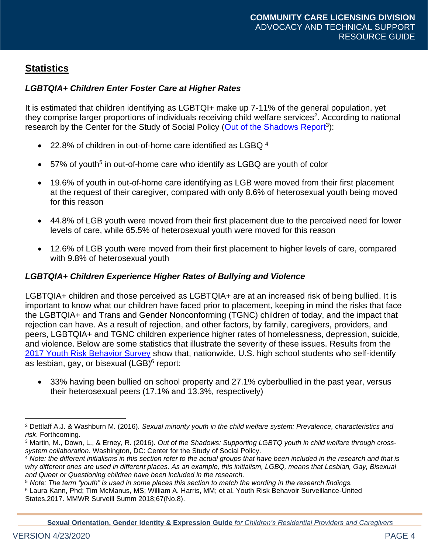# **Statistics**

# *LGBTQIA+ Children Enter Foster Care at Higher Rates*

It is estimated that children identifying as LGBTQI+ make up 7-11% of the general population, yet they comprise larger proportions of individuals receiving child welfare services<sup>2</sup>. According to national research by the Center for the Study of Social Policy [\(Out of the Shadows Report](https://cssp.org/resource/out-of-the-shadows/)<sup>3</sup>):

- 22.8% of children in out-of-home care identified as LGBQ <sup>4</sup>
- 57% of youth<sup>5</sup> in out-of-home care who identify as LGBQ are youth of color
- 19.6% of youth in out-of-home care identifying as LGB were moved from their first placement at the request of their caregiver, compared with only 8.6% of heterosexual youth being moved for this reason
- 44.8% of LGB youth were moved from their first placement due to the perceived need for lower levels of care, while 65.5% of heterosexual youth were moved for this reason
- 12.6% of LGB youth were moved from their first placement to higher levels of care, compared with 9.8% of heterosexual youth

### *LGBTQIA+ Children Experience Higher Rates of Bullying and Violence*

LGBTQIA+ children and those perceived as LGBTQIA+ are at an increased risk of being bullied. It is important to know what our children have faced prior to placement, keeping in mind the risks that face the LGBTQIA+ and Trans and Gender Nonconforming (TGNC) children of today, and the impact that rejection can have. As a result of rejection, and other factors, by family, caregivers, providers, and peers, LGBTQIA+ and TGNC children experience higher rates of homelessness, depression, suicide, and violence. Below are some statistics that illustrate the severity of these issues. Results from the [2017 Youth Risk Behavior Survey](https://www.cdc.gov/mmwr/volumes/67/ss/pdfs/ss6708a1-h.pdf) show that, nationwide, U.S. high school students who self-identify as lesbian, gay, or bisexual (LGB)<sup>6</sup> report:

• 33% having been bullied on school property and 27.1% cyberbullied in the past year, versus their heterosexual peers (17.1% and 13.3%, respectively)

**Sexual Orientation, Gender Identity & Expression Guide** *for Children's Residential Providers and Caregivers*

<sup>2</sup> Dettlaff A.J. & Washburn M. (2016). *Sexual minority youth in the child welfare system: Prevalence, characteristics and risk*. Forthcoming.

<sup>3</sup> Martin, M., Down, L., & Erney, R. (2016). *Out of the Shadows: Supporting LGBTQ youth in child welfare through crosssystem collaboration*. Washington, DC: Center for the Study of Social Policy.

<sup>4</sup> *Note: the different initialisms in this section refer to the actual groups that have been included in the research and that is why different ones are used in different places. As an example, this initialism, LGBQ, means that Lesbian, Gay, Bisexual and Queer or Questioning children have been included in the research.*

<sup>5</sup> *Note: The term "youth" is used in some places this section to match the wording in the research findings.*

<sup>6</sup> Laura Kann, Phd; Tim McManus, MS; William A. Harris, MM; et al. Youth Risk Behavoir Surveillance-United States,2017. MMWR Surveill Summ 2018;67(No.8).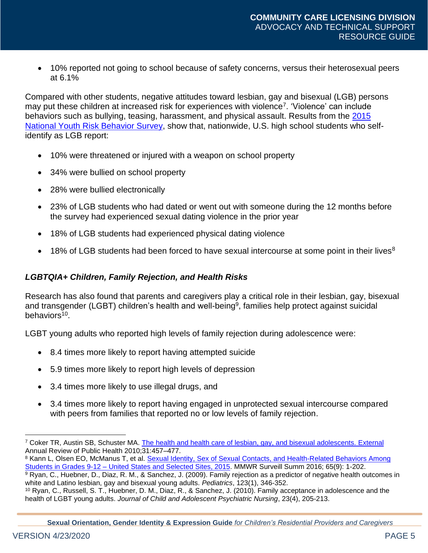• 10% reported not going to school because of safety concerns, versus their heterosexual peers at 6.1%

Compared with other students, negative attitudes toward lesbian, gay and bisexual (LGB) persons may put these children at increased risk for experiences with violence<sup>7</sup>. 'Violence' can include behaviors such as bullying, teasing, harassment, and physical assault. Results from the 2015 [National Youth Risk Behavior Survey,](https://www.cdc.gov/mmwr/volumes/67/ss/pdfs/ss6708a1-h.pdf) show that, nationwide, U.S. high school students who selfidentify as LGB report:

- 10% were threatened or injured with a weapon on school property
- 34% were bullied on school property
- 28% were bullied electronically
- 23% of LGB students who had dated or went out with someone during the 12 months before the survey had experienced sexual dating violence in the prior year
- 18% of LGB students had experienced physical dating violence
- 18% of LGB students had been forced to have sexual intercourse at some point in their lives<sup>8</sup>

#### *LGBTQIA+ Children, Family Rejection, and Health Risks*

Research has also found that parents and caregivers play a critical role in their lesbian, gay, bisexual and transgender (LGBT) children's health and well-being<sup>9</sup>, families help protect against suicidal behaviors<sup>10</sup>.

LGBT young adults who reported high levels of family rejection during adolescence were:

- 8.4 times more likely to report having attempted suicide
- 5.9 times more likely to report high levels of depression
- 3.4 times more likely to use illegal drugs, and
- 3.4 times more likely to report having engaged in unprotected sexual intercourse compared with peers from families that reported no or low levels of family rejection.

8 Kann L, Olsen EO, McManus T, et al. Sexual Identity, Sex of Sexual Contacts, and Health-Related Behaviors Among Students in Grades 9-12 – [United States and Selected Sites, 2015.](https://www.cdc.gov/mmwr/volumes/65/ss/ss6509a1.htm) MMWR Surveill Summ 2016; 65(9): 1-202.

<sup>9</sup> Ryan, C., Huebner, D., Diaz, R. M., & Sanchez, J. (2009). Family rejection as a predictor of negative health outcomes in white and Latino lesbian, gay and bisexual young adults. *Pediatrics*, 123(1), 346-352.

<sup>7</sup> Coker TR, Austin SB, Schuster MA. [The health and health care of lesbian, gay, and bisexual adolescents.](https://www.ncbi.nlm.nih.gov/pubmed/20070195) External Annual Review of Public Health 2010; 31:457-477.

<sup>10</sup> Ryan, C., Russell, S. T., Huebner, D. M., Diaz, R., & Sanchez, J. (2010). Family acceptance in adolescence and the health of LGBT young adults. *Journal of Child and Adolescent Psychiatric Nursing*, 23(4), 205-213.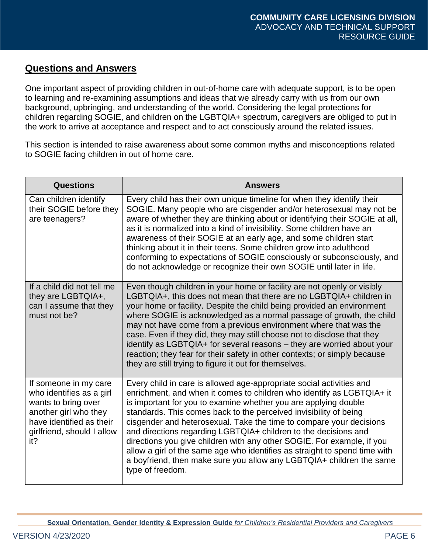# <span id="page-5-0"></span>**Questions and Answers**

One important aspect of providing children in out-of-home care with adequate support, is to be open to learning and re-examining assumptions and ideas that we already carry with us from our own background, upbringing, and understanding of the world. Considering the legal protections for children regarding SOGIE, and children on the LGBTQIA+ spectrum, caregivers are obliged to put in the work to arrive at acceptance and respect and to act consciously around the related issues.

This section is intended to raise awareness about some common myths and misconceptions related to SOGIE facing children in out of home care.

| Questions                                                                                                                                                          | <b>Answers</b>                                                                                                                                                                                                                                                                                                                                                                                                                                                                                                                                                                                                                                                                      |
|--------------------------------------------------------------------------------------------------------------------------------------------------------------------|-------------------------------------------------------------------------------------------------------------------------------------------------------------------------------------------------------------------------------------------------------------------------------------------------------------------------------------------------------------------------------------------------------------------------------------------------------------------------------------------------------------------------------------------------------------------------------------------------------------------------------------------------------------------------------------|
| Can children identify<br>their SOGIE before they<br>are teenagers?                                                                                                 | Every child has their own unique timeline for when they identify their<br>SOGIE. Many people who are cisgender and/or heterosexual may not be<br>aware of whether they are thinking about or identifying their SOGIE at all,<br>as it is normalized into a kind of invisibility. Some children have an<br>awareness of their SOGIE at an early age, and some children start<br>thinking about it in their teens. Some children grow into adulthood<br>conforming to expectations of SOGIE consciously or subconsciously, and<br>do not acknowledge or recognize their own SOGIE until later in life.                                                                                |
| If a child did not tell me<br>they are LGBTQIA+,<br>can I assume that they<br>must not be?                                                                         | Even though children in your home or facility are not openly or visibly<br>LGBTQIA+, this does not mean that there are no LGBTQIA+ children in<br>your home or facility. Despite the child being provided an environment<br>where SOGIE is acknowledged as a normal passage of growth, the child<br>may not have come from a previous environment where that was the<br>case. Even if they did, they may still choose not to disclose that they<br>identify as LGBTQIA+ for several reasons – they are worried about your<br>reaction; they fear for their safety in other contexts; or simply because<br>they are still trying to figure it out for themselves.                    |
| If someone in my care<br>who identifies as a girl<br>wants to bring over<br>another girl who they<br>have identified as their<br>girlfriend, should I allow<br>it? | Every child in care is allowed age-appropriate social activities and<br>enrichment, and when it comes to children who identify as LGBTQIA+ it<br>is important for you to examine whether you are applying double<br>standards. This comes back to the perceived invisibility of being<br>cisgender and heterosexual. Take the time to compare your decisions<br>and directions regarding LGBTQIA+ children to the decisions and<br>directions you give children with any other SOGIE. For example, if you<br>allow a girl of the same age who identifies as straight to spend time with<br>a boyfriend, then make sure you allow any LGBTQIA+ children the same<br>type of freedom. |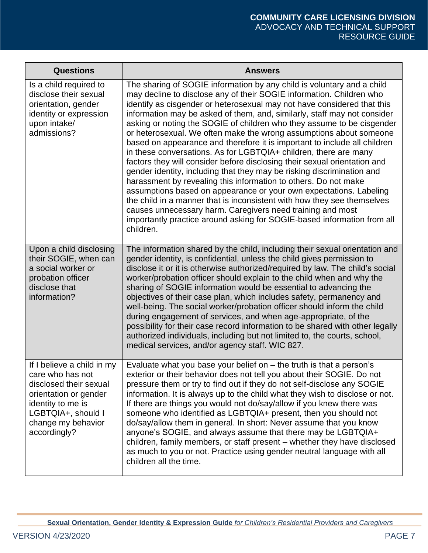<span id="page-6-0"></span>

| <b>Questions</b>                                                                                                                                                                   | <b>Answers</b>                                                                                                                                                                                                                                                                                                                                                                                                                                                                                                                                                                                                                                                                                                                                                                                                                                                                                                                                                                                                                                                                                                                          |
|------------------------------------------------------------------------------------------------------------------------------------------------------------------------------------|-----------------------------------------------------------------------------------------------------------------------------------------------------------------------------------------------------------------------------------------------------------------------------------------------------------------------------------------------------------------------------------------------------------------------------------------------------------------------------------------------------------------------------------------------------------------------------------------------------------------------------------------------------------------------------------------------------------------------------------------------------------------------------------------------------------------------------------------------------------------------------------------------------------------------------------------------------------------------------------------------------------------------------------------------------------------------------------------------------------------------------------------|
| Is a child required to<br>disclose their sexual<br>orientation, gender<br>identity or expression<br>upon intake/<br>admissions?                                                    | The sharing of SOGIE information by any child is voluntary and a child<br>may decline to disclose any of their SOGIE information. Children who<br>identify as cisgender or heterosexual may not have considered that this<br>information may be asked of them, and, similarly, staff may not consider<br>asking or noting the SOGIE of children who they assume to be cisgender<br>or heterosexual. We often make the wrong assumptions about someone<br>based on appearance and therefore it is important to include all children<br>in these conversations. As for LGBTQIA+ children, there are many<br>factors they will consider before disclosing their sexual orientation and<br>gender identity, including that they may be risking discrimination and<br>harassment by revealing this information to others. Do not make<br>assumptions based on appearance or your own expectations. Labeling<br>the child in a manner that is inconsistent with how they see themselves<br>causes unnecessary harm. Caregivers need training and most<br>importantly practice around asking for SOGIE-based information from all<br>children. |
| Upon a child disclosing<br>their SOGIE, when can<br>a social worker or<br>probation officer<br>disclose that<br>information?                                                       | The information shared by the child, including their sexual orientation and<br>gender identity, is confidential, unless the child gives permission to<br>disclose it or it is otherwise authorized/required by law. The child's social<br>worker/probation officer should explain to the child when and why the<br>sharing of SOGIE information would be essential to advancing the<br>objectives of their case plan, which includes safety, permanency and<br>well-being. The social worker/probation officer should inform the child<br>during engagement of services, and when age-appropriate, of the<br>possibility for their case record information to be shared with other legally<br>authorized individuals, including but not limited to, the courts, school,<br>medical services, and/or agency staff. WIC 827.                                                                                                                                                                                                                                                                                                              |
| If I believe a child in my<br>care who has not<br>disclosed their sexual<br>orientation or gender<br>identity to me is<br>LGBTQIA+, should I<br>change my behavior<br>accordingly? | Evaluate what you base your belief on $-$ the truth is that a person's<br>exterior or their behavior does not tell you about their SOGIE. Do not<br>pressure them or try to find out if they do not self-disclose any SOGIE<br>information. It is always up to the child what they wish to disclose or not.<br>If there are things you would not do/say/allow if you knew there was<br>someone who identified as LGBTQIA+ present, then you should not<br>do/say/allow them in general. In short: Never assume that you know<br>anyone's SOGIE, and always assume that there may be LGBTQIA+<br>children, family members, or staff present – whether they have disclosed<br>as much to you or not. Practice using gender neutral language with all<br>children all the time.                                                                                                                                                                                                                                                                                                                                                            |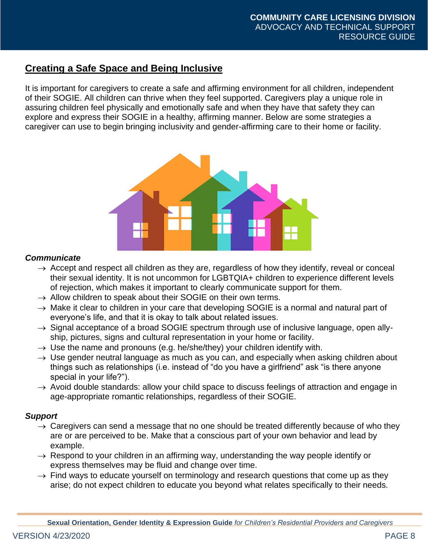# **Creating a Safe Space and Being Inclusive**

It is important for caregivers to create a safe and affirming environment for all children, independent of their SOGIE. All children can thrive when they feel supported. Caregivers play a unique role in assuring children feel physically and emotionally safe and when they have that safety they can explore and express their SOGIE in a healthy, affirming manner. Below are some strategies a caregiver can use to begin bringing inclusivity and gender-affirming care to their home or facility.



### *Communicate*

- $\rightarrow$  Accept and respect all children as they are, regardless of how they identify, reveal or conceal their sexual identity. It is not uncommon for LGBTQIA+ children to experience different levels of rejection, which makes it important to clearly communicate support for them.
- $\rightarrow$  Allow children to speak about their SOGIE on their own terms.
- $\rightarrow$  Make it clear to children in your care that developing SOGIE is a normal and natural part of everyone's life, and that it is okay to talk about related issues.
- $\rightarrow$  Signal acceptance of a broad SOGIE spectrum through use of inclusive language, open allyship, pictures, signs and cultural representation in your home or facility.
- $\rightarrow$  Use the name and pronouns (e.g. he/she/they) your children identify with.
- $\rightarrow$  Use gender neutral language as much as you can, and especially when asking children about things such as relationships (i.e. instead of "do you have a girlfriend" ask "is there anyone special in your life?").
- $\rightarrow$  Avoid double standards: allow your child space to discuss feelings of attraction and engage in age-appropriate romantic relationships, regardless of their SOGIE.

# *Support*

- $\rightarrow$  Caregivers can send a message that no one should be treated differently because of who they are or are perceived to be. Make that a conscious part of your own behavior and lead by example.
- $\rightarrow$  Respond to your children in an affirming way, understanding the way people identify or express themselves may be fluid and change over time.
- $\rightarrow$  Find ways to educate yourself on terminology and research questions that come up as they arise; do not expect children to educate you beyond what relates specifically to their needs.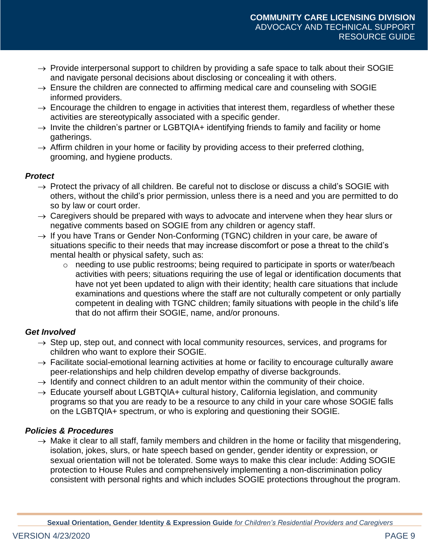- $\rightarrow$  Provide interpersonal support to children by providing a safe space to talk about their SOGIE and navigate personal decisions about disclosing or concealing it with others.
- $\rightarrow$  Ensure the children are connected to affirming medical care and counseling with SOGIE informed providers.
- $\rightarrow$  Encourage the children to engage in activities that interest them, regardless of whether these activities are stereotypically associated with a specific gender.
- $\rightarrow$  Invite the children's partner or LGBTQIA+ identifying friends to family and facility or home gatherings.
- $\rightarrow$  Affirm children in your home or facility by providing access to their preferred clothing, grooming, and hygiene products.

# *Protect*

- $\rightarrow$  Protect the privacy of all children. Be careful not to disclose or discuss a child's SOGIE with others, without the child's prior permission, unless there is a need and you are permitted to do so by law or court order.
- $\rightarrow$  Caregivers should be prepared with ways to advocate and intervene when they hear slurs or negative comments based on SOGIE from any children or agency staff.
- $\rightarrow$  If you have Trans or Gender Non-Conforming (TGNC) children in your care, be aware of situations specific to their needs that may increase discomfort or pose a threat to the child's mental health or physical safety, such as:
	- o needing to use public restrooms; being required to participate in sports or water/beach activities with peers; situations requiring the use of legal or identification documents that have not yet been updated to align with their identity; health care situations that include examinations and questions where the staff are not culturally competent or only partially competent in dealing with TGNC children; family situations with people in the child's life that do not affirm their SOGIE, name, and/or pronouns.

# *Get Involved*

- $\rightarrow$  Step up, step out, and connect with local community resources, services, and programs for children who want to explore their SOGIE.
- $\rightarrow$  Facilitate social-emotional learning activities at home or facility to encourage culturally aware peer-relationships and help children develop empathy of diverse backgrounds.
- $\rightarrow$  Identify and connect children to an adult mentor within the community of their choice.
- $\rightarrow$  Educate yourself about LGBTQIA+ cultural history, California legislation, and community programs so that you are ready to be a resource to any child in your care whose SOGIE falls on the LGBTQIA+ spectrum, or who is exploring and questioning their SOGIE.

# *Policies & Procedures*

 $\rightarrow$  Make it clear to all staff, family members and children in the home or facility that misgendering, isolation, jokes, slurs, or hate speech based on gender, gender identity or expression, or sexual orientation will not be tolerated. Some ways to make this clear include: Adding SOGIE protection to House Rules and comprehensively implementing a non-discrimination policy consistent with personal rights and which includes SOGIE protections throughout the program.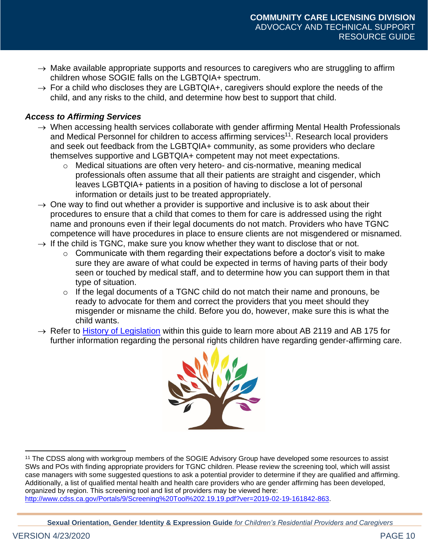- $\rightarrow$  Make available appropriate supports and resources to caregivers who are struggling to affirm children whose SOGIE falls on the LGBTQIA+ spectrum.
- $\rightarrow$  For a child who discloses they are LGBTQIA+, caregivers should explore the needs of the child, and any risks to the child, and determine how best to support that child.

# *Access to Affirming Services*

- $\rightarrow$  When accessing health services collaborate with gender affirming Mental Health Professionals and Medical Personnel for children to access affirming services<sup>11</sup>. Research local providers and seek out feedback from the LGBTQIA+ community, as some providers who declare themselves supportive and LGBTQIA+ competent may not meet expectations.
	- o Medical situations are often very hetero- and cis-normative, meaning medical professionals often assume that all their patients are straight and cisgender, which leaves LGBTQIA+ patients in a position of having to disclose a lot of personal information or details just to be treated appropriately.
- $\rightarrow$  One way to find out whether a provider is supportive and inclusive is to ask about their procedures to ensure that a child that comes to them for care is addressed using the right name and pronouns even if their legal documents do not match. Providers who have TGNC competence will have procedures in place to ensure clients are not misgendered or misnamed.
- $\rightarrow$  If the child is TGNC, make sure you know whether they want to disclose that or not.
	- $\circ$  Communicate with them regarding their expectations before a doctor's visit to make sure they are aware of what could be expected in terms of having parts of their body seen or touched by medical staff, and to determine how you can support them in that type of situation.
	- $\circ$  If the legal documents of a TGNC child do not match their name and pronouns, be ready to advocate for them and correct the providers that you meet should they misgender or misname the child. Before you do, however, make sure this is what the child wants.
- $\rightarrow$  Refer to [History of Legislation](#page-13-0) within this guide to learn more about AB 2119 and AB 175 for further information regarding the personal rights children have regarding gender-affirming care.

<span id="page-9-0"></span>

<sup>11</sup> The CDSS along with workgroup members of the SOGIE Advisory Group have developed some resources to assist SWs and POs with finding appropriate providers for TGNC children. Please review the screening tool, which will assist case managers with some suggested questions to ask a potential provider to determine if they are qualified and affirming. Additionally, a list of qualified mental health and health care providers who are gender affirming has been developed, organized by region. This screening tool and list of providers may be viewed here: [http://www.cdss.ca.gov/Portals/9/Screening%20Tool%202.19.19.pdf?ver=2019-02-19-161842-863.](http://www.cdss.ca.gov/Portals/9/Screening%20Tool%202.19.19.pdf?ver=2019-02-19-161842-863)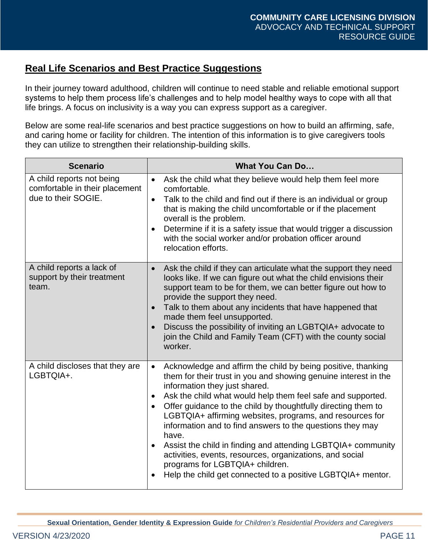# **Real Life Scenarios and Best Practice Suggestions**

In their journey toward adulthood, children will continue to need stable and reliable emotional support systems to help them process life's challenges and to help model healthy ways to cope with all that life brings. A focus on inclusivity is a way you can express support as a caregiver.

Below are some real-life scenarios and best practice suggestions on how to build an affirming, safe, and caring home or facility for children. The intention of this information is to give caregivers tools they can utilize to strengthen their relationship-building skills.

| <b>Scenario</b>                                                                    | <b>What You Can Do</b>                                                                                                                                                                                                                                                                                                                                                                                                                                                                                                                                                                                                                                                                                                            |
|------------------------------------------------------------------------------------|-----------------------------------------------------------------------------------------------------------------------------------------------------------------------------------------------------------------------------------------------------------------------------------------------------------------------------------------------------------------------------------------------------------------------------------------------------------------------------------------------------------------------------------------------------------------------------------------------------------------------------------------------------------------------------------------------------------------------------------|
| A child reports not being<br>comfortable in their placement<br>due to their SOGIE. | Ask the child what they believe would help them feel more<br>$\bullet$<br>comfortable.<br>Talk to the child and find out if there is an individual or group<br>$\bullet$<br>that is making the child uncomfortable or if the placement<br>overall is the problem.<br>Determine if it is a safety issue that would trigger a discussion<br>$\bullet$<br>with the social worker and/or probation officer around<br>relocation efforts.                                                                                                                                                                                                                                                                                              |
| A child reports a lack of<br>support by their treatment<br>team.                   | Ask the child if they can articulate what the support they need<br>$\bullet$<br>looks like. If we can figure out what the child envisions their<br>support team to be for them, we can better figure out how to<br>provide the support they need.<br>Talk to them about any incidents that have happened that<br>$\bullet$<br>made them feel unsupported.<br>Discuss the possibility of inviting an LGBTQIA+ advocate to<br>$\bullet$<br>join the Child and Family Team (CFT) with the county social<br>worker.                                                                                                                                                                                                                   |
| A child discloses that they are<br>LGBTQIA+.                                       | Acknowledge and affirm the child by being positive, thanking<br>$\bullet$<br>them for their trust in you and showing genuine interest in the<br>information they just shared.<br>Ask the child what would help them feel safe and supported.<br>$\bullet$<br>Offer guidance to the child by thoughtfully directing them to<br>$\bullet$<br>LGBTQIA+ affirming websites, programs, and resources for<br>information and to find answers to the questions they may<br>have.<br>Assist the child in finding and attending LGBTQIA+ community<br>$\bullet$<br>activities, events, resources, organizations, and social<br>programs for LGBTQIA+ children.<br>Help the child get connected to a positive LGBTQIA+ mentor.<br>$\bullet$ |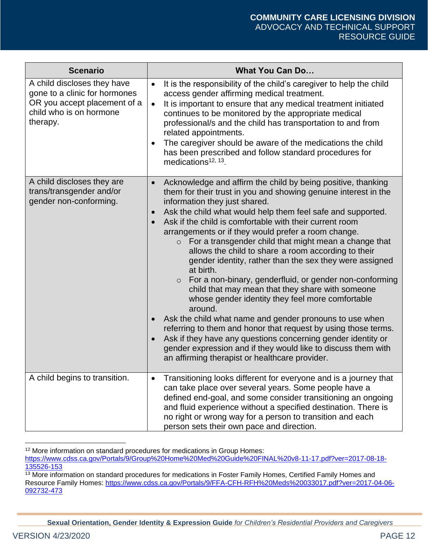| <b>Scenario</b>                                                                                                                     | <b>What You Can Do</b>                                                                                                                                                                                                                                                                                                                                                                                                                                                                                                                                                                                                                                                                                                                                                                                                                                                                                                                                                                                                                                                                               |
|-------------------------------------------------------------------------------------------------------------------------------------|------------------------------------------------------------------------------------------------------------------------------------------------------------------------------------------------------------------------------------------------------------------------------------------------------------------------------------------------------------------------------------------------------------------------------------------------------------------------------------------------------------------------------------------------------------------------------------------------------------------------------------------------------------------------------------------------------------------------------------------------------------------------------------------------------------------------------------------------------------------------------------------------------------------------------------------------------------------------------------------------------------------------------------------------------------------------------------------------------|
| A child discloses they have<br>gone to a clinic for hormones<br>OR you accept placement of a<br>child who is on hormone<br>therapy. | It is the responsibility of the child's caregiver to help the child<br>$\bullet$<br>access gender affirming medical treatment.<br>It is important to ensure that any medical treatment initiated<br>$\bullet$<br>continues to be monitored by the appropriate medical<br>professional/s and the child has transportation to and from<br>related appointments.<br>The caregiver should be aware of the medications the child<br>$\bullet$<br>has been prescribed and follow standard procedures for<br>medications <sup>12, 13</sup> .                                                                                                                                                                                                                                                                                                                                                                                                                                                                                                                                                                |
| A child discloses they are<br>trans/transgender and/or<br>gender non-conforming.                                                    | Acknowledge and affirm the child by being positive, thanking<br>$\bullet$<br>them for their trust in you and showing genuine interest in the<br>information they just shared.<br>Ask the child what would help them feel safe and supported.<br>$\bullet$<br>Ask if the child is comfortable with their current room<br>arrangements or if they would prefer a room change.<br>For a transgender child that might mean a change that<br>$\circ$<br>allows the child to share a room according to their<br>gender identity, rather than the sex they were assigned<br>at birth.<br>For a non-binary, genderfluid, or gender non-conforming<br>$\circ$<br>child that may mean that they share with someone<br>whose gender identity they feel more comfortable<br>around.<br>Ask the child what name and gender pronouns to use when<br>$\bullet$<br>referring to them and honor that request by using those terms.<br>Ask if they have any questions concerning gender identity or<br>gender expression and if they would like to discuss them with<br>an affirming therapist or healthcare provider. |
| A child begins to transition.                                                                                                       | Transitioning looks different for everyone and is a journey that<br>$\bullet$<br>can take place over several years. Some people have a<br>defined end-goal, and some consider transitioning an ongoing<br>and fluid experience without a specified destination. There is<br>no right or wrong way for a person to transition and each<br>person sets their own pace and direction.                                                                                                                                                                                                                                                                                                                                                                                                                                                                                                                                                                                                                                                                                                                   |

<sup>12</sup> More information on standard procedures for medications in Group Homes:

**Sexual Orientation, Gender Identity & Expression Guide** *for Children's Residential Providers and Caregivers*

[https://www.cdss.ca.gov/Portals/9/Group%20Home%20Med%20Guide%20FINAL%20v8-11-17.pdf?ver=2017-08-18-](https://www.cdss.ca.gov/Portals/9/Group%20Home%20Med%20Guide%20FINAL%20v8-11-17.pdf?ver=2017-08-18-135526-153) [135526-153](https://www.cdss.ca.gov/Portals/9/Group%20Home%20Med%20Guide%20FINAL%20v8-11-17.pdf?ver=2017-08-18-135526-153)

<sup>&</sup>lt;sup>13</sup> More information on standard procedures for medications in Foster Family Homes, Certified Family Homes and Resource Family Homes: [https://www.cdss.ca.gov/Portals/9/FFA-CFH-RFH%20Meds%20033017.pdf?ver=2017-04-06-](https://gcc02.safelinks.protection.outlook.com/?url=https%3A%2F%2Fwww.cdss.ca.gov%2FPortals%2F9%2FFFA-CFH-RFH%2520Meds%2520033017.pdf%3Fver%3D2017-04-06-092732-473&data=02%7C01%7CLila.Hollman-Dowty%40dss.ca.gov%7C2cc963a5ae7f438a0d6808d74da23df9%7C0235ba6b2cf04b75bc5dd6187ce33de3%7C0%7C0%7C637063231522377617&sdata=vw8Mtg2eNSfdJmWJiOWjU9jsGkawbRQiktP3AG92ac4%3D&reserved=0) [092732-473](https://gcc02.safelinks.protection.outlook.com/?url=https%3A%2F%2Fwww.cdss.ca.gov%2FPortals%2F9%2FFFA-CFH-RFH%2520Meds%2520033017.pdf%3Fver%3D2017-04-06-092732-473&data=02%7C01%7CLila.Hollman-Dowty%40dss.ca.gov%7C2cc963a5ae7f438a0d6808d74da23df9%7C0235ba6b2cf04b75bc5dd6187ce33de3%7C0%7C0%7C637063231522377617&sdata=vw8Mtg2eNSfdJmWJiOWjU9jsGkawbRQiktP3AG92ac4%3D&reserved=0)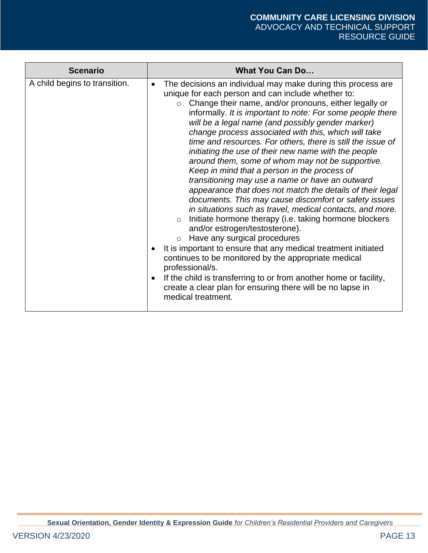<span id="page-12-0"></span>

| <b>Scenario</b>               | <b>What You Can Do</b>                                                                                                                                                                                                                                                                                                                                                                                                                                                                                                                                                                                                                                                                                                                                                                                                                                                                                                                                                                                                                                                                                                                                                                                                                                                                                                            |
|-------------------------------|-----------------------------------------------------------------------------------------------------------------------------------------------------------------------------------------------------------------------------------------------------------------------------------------------------------------------------------------------------------------------------------------------------------------------------------------------------------------------------------------------------------------------------------------------------------------------------------------------------------------------------------------------------------------------------------------------------------------------------------------------------------------------------------------------------------------------------------------------------------------------------------------------------------------------------------------------------------------------------------------------------------------------------------------------------------------------------------------------------------------------------------------------------------------------------------------------------------------------------------------------------------------------------------------------------------------------------------|
| A child begins to transition. | The decisions an individual may make during this process are<br>$\bullet$<br>unique for each person and can include whether to:<br>Change their name, and/or pronouns, either legally or<br>$\circ$<br>informally. It is important to note: For some people there<br>will be a legal name (and possibly gender marker)<br>change process associated with this, which will take<br>time and resources. For others, there is still the issue of<br>initiating the use of their new name with the people<br>around them, some of whom may not be supportive.<br>Keep in mind that a person in the process of<br>transitioning may use a name or have an outward<br>appearance that does not match the details of their legal<br>documents. This may cause discomfort or safety issues<br>in situations such as travel, medical contacts, and more.<br>Initiate hormone therapy (i.e. taking hormone blockers<br>$\circ$<br>and/or estrogen/testosterone).<br>Have any surgical procedures<br>$\circ$<br>It is important to ensure that any medical treatment initiated<br>$\bullet$<br>continues to be monitored by the appropriate medical<br>professional/s.<br>If the child is transferring to or from another home or facility,<br>$\bullet$<br>create a clear plan for ensuring there will be no lapse in<br>medical treatment. |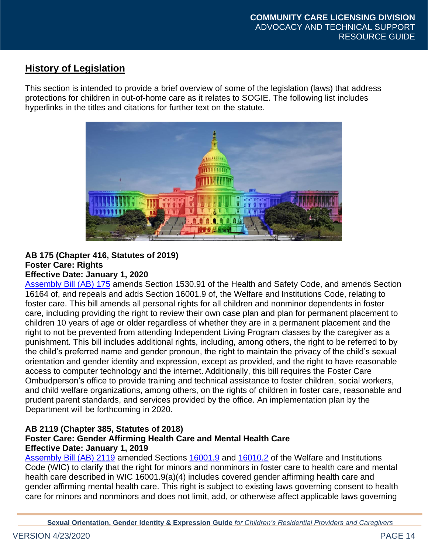# <span id="page-13-0"></span>**History of Legislation**

This section is intended to provide a brief overview of some of the legislation (laws) that address protections for children in out-of-home care as it relates to SOGIE. The following list includes hyperlinks in the titles and citations for further text on the statute.



#### **AB 175 (Chapter 416, Statutes of 2019) Foster Care: Rights Effective Date: January 1, 2020**

[Assembly Bill \(AB\) 175](http://leginfo.legislature.ca.gov/faces/billNavClient.xhtml?bill_id=201920200AB175) amends Section 1530.91 of the Health and Safety Code, and amends Section 16164 of, and repeals and adds Section 16001.9 of, the Welfare and Institutions Code, relating to foster care. This bill amends all personal rights for all children and nonminor dependents in foster care, including providing the right to review their own case plan and plan for permanent placement to children 10 years of age or older regardless of whether they are in a permanent placement and the right to not be prevented from attending Independent Living Program classes by the caregiver as a punishment. This bill includes additional rights, including, among others, the right to be referred to by the child's preferred name and gender pronoun, the right to maintain the privacy of the child's sexual orientation and gender identity and expression, except as provided, and the right to have reasonable access to computer technology and the internet. Additionally, this bill requires the Foster Care Ombudperson's office to provide training and technical assistance to foster children, social workers, and child welfare organizations, among others, on the rights of children in foster care, reasonable and prudent parent standards, and services provided by the office. An implementation plan by the Department will be forthcoming in 2020.

# **AB 2119 (Chapter 385, Statutes of 2018)**

### **Foster Care: Gender Affirming Health Care and Mental Health Care Effective Date: January 1, 2019**

[Assembly Bill \(AB\) 2119](http://leginfo.legislature.ca.gov/faces/billNavClient.xhtml?bill_id=201720180AB2119) amended Sections [16001.9](http://leginfo.legislature.ca.gov/faces/codes_displaySection.xhtml?sectionNum=16001.9&lawCode=WIC) and [16010.2](http://leginfo.legislature.ca.gov/faces/codes_displaySection.xhtml?sectionNum=16010.2&lawCode=WIC) of the Welfare and Institutions Code (WIC) to clarify that the right for minors and nonminors in foster care to health care and mental health care described in WIC 16001.9(a)(4) includes covered gender affirming health care and gender affirming mental health care. This right is subject to existing laws governing consent to health care for minors and nonminors and does not limit, add, or otherwise affect applicable laws governing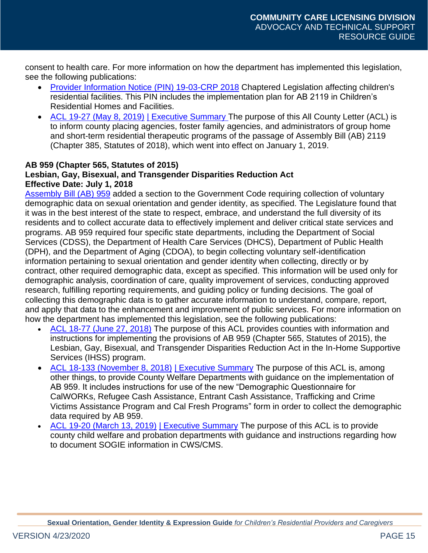consent to health care. For more information on how the department has implemented this legislation, see the following publications:

- [Provider Information Notice \(PIN\) 19-03-CRP](http://www.cdss.ca.gov/Portals/9/Children) 2018 Chaptered Legislation affecting children's residential facilities. This PIN includes the implementation plan for AB 2119 in Children's Residential Homes and Facilities.
- [ACL 19-27 \(May 8, 2019\)](http://www.cdss.ca.gov/Portals/9/ACL/2019/19-27.pdf?ver=2019-05-09-101636-810) [| Executive Summary](http://www.cdss.ca.gov/Portals/9/ACL/2019/19-27_ES.pdf?ver=2019-05-09-100830-040) The purpose of this All County Letter (ACL) is to inform county placing agencies, foster family agencies, and administrators of group home and short-term residential therapeutic programs of the passage of Assembly Bill (AB) 2119 (Chapter 385, Statutes of 2018), which went into effect on January 1, 2019.

#### **AB 959 (Chapter 565, Statutes of 2015)**

#### **Lesbian, Gay, Bisexual, and Transgender Disparities Reduction Act Effective Date: July 1, 2018**

[Assembly Bill \(AB\) 959](http://leginfo.legislature.ca.gov/faces/billNavClient.xhtml?bill_id=201520160AB959) added a section to the Government Code requiring collection of voluntary demographic data on sexual orientation and gender identity, as specified. The Legislature found that it was in the best interest of the state to respect, embrace, and understand the full diversity of its residents and to collect accurate data to effectively implement and deliver critical state services and programs. AB 959 required four specific state departments, including the Department of Social Services (CDSS), the Department of Health Care Services (DHCS), Department of Public Health (DPH), and the Department of Aging (CDOA), to begin collecting voluntary self-identification information pertaining to sexual orientation and gender identity when collecting, directly or by contract, other required demographic data, except as specified. This information will be used only for demographic analysis, coordination of care, quality improvement of services, conducting approved research, fulfilling reporting requirements, and guiding policy or funding decisions. The goal of collecting this demographic data is to gather accurate information to understand, compare, report, and apply that data to the enhancement and improvement of public services. For more information on how the department has implemented this legislation, see the following publications:

- [ACL 18-77 \(June 27, 2018\)](http://www.cdss.ca.gov/Portals/9/ACL/2018/18-77.pdf?ver=2018-06-28-130510-113) The purpose of this ACL provides counties with information and instructions for implementing the provisions of AB 959 (Chapter 565, Statutes of 2015), the Lesbian, Gay, Bisexual, and Transgender Disparities Reduction Act in the In-Home Supportive Services (IHSS) program.
- [ACL 18-133 \(November 8, 2018\)](https://www.cdss.ca.gov/Portals/9/ACL/2018/18-133.pdf?ver=2018-11-13-125450-473) [| Executive Summary](https://www.cdss.ca.gov/Portals/9/ACL/2018/18-133_ES.pdf?ver=2018-11-13-130647-963) The purpose of this ACL is, among other things, to provide County Welfare Departments with guidance on the implementation of AB 959. It includes instructions for use of the new "Demographic Questionnaire for CalWORKs, Refugee Cash Assistance, Entrant Cash Assistance, Trafficking and Crime Victims Assistance Program and Cal Fresh Programs" form in order to collect the demographic data required by AB 959.
- [ACL 19-20 \(March 13, 2019\)](http://www.cdss.ca.gov/Portals/9/ACL/2019/19-20.pdf?ver=2019-04-03-081756-557) [| Executive Summary](http://www.cdss.ca.gov/Portals/9/ACL/2019/19-20_ES.pdf?ver=2019-04-03-081807-637) The purpose of this ACL is to provide county child welfare and probation departments with guidance and instructions regarding how to document SOGIE information in CWS/CMS.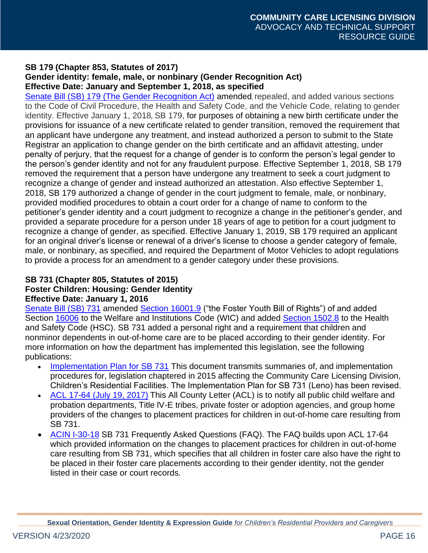#### **SB 179 (Chapter 853, Statutes of 2017) Gender identity: female, male, or nonbinary (Gender Recognition Act) Effective Date: January and September 1, 2018, as specified**

[Senate Bill \(SB\) 179](http://leginfo.legislature.ca.gov/faces/billNavClient.xhtml?bill_id=201720180SB179) (The Gender Recognition Act) amended, repealed, and added various sections to the Code of Civil Procedure, the Health and Safety Code, and the Vehicle Code, relating to gender identity. Effective January 1, 2018, SB 179, for purposes of obtaining a new birth certificate under the provisions for issuance of a new certificate related to gender transition, removed the requirement that an applicant have undergone any treatment, and instead authorized a person to submit to the State Registrar an application to change gender on the birth certificate and an affidavit attesting, under penalty of perjury, that the request for a change of gender is to conform the person's legal gender to the person's gender identity and not for any fraudulent purpose. Effective September 1, 2018, SB 179 removed the requirement that a person have undergone any treatment to seek a court judgment to recognize a change of gender and instead authorized an attestation. Also effective September 1, 2018, SB 179 authorized a change of gender in the court judgment to female, male, or nonbinary, provided modified procedures to obtain a court order for a change of name to conform to the petitioner's gender identity and a court judgment to recognize a change in the petitioner's gender, and provided a separate procedure for a person under 18 years of age to petition for a court judgment to recognize a change of gender, as specified. Effective January 1, 2019, SB 179 required an applicant for an original driver's license or renewal of a driver's license to choose a gender category of female, male, or nonbinary, as specified, and required the Department of Motor Vehicles to adopt regulations to provide a process for an amendment to a gender category under these provisions.

### **SB 731 (Chapter 805, Statutes of 2015) Foster Children: Housing: Gender Identity Effective Date: January 1, 2016**

[Senate Bill \(SB\) 731](http://leginfo.legislature.ca.gov/faces/billNavClient.xhtml?bill_id=201520160SB731) amended [Section 16001.9](http://leginfo.legislature.ca.gov/faces/codes_displaySection.xhtml?sectionNum=16001.9&lawCode=WIC) ("the Foster Youth Bill of Rights") of and added Section [16006](http://leginfo.legislature.ca.gov/faces/codes_displaySection.xhtml?sectionNum=16006&lawCode=WIC) to the Welfare and Institutions Code (WIC) and added [Section 1502.8](http://leginfo.legislature.ca.gov/faces/codes_displaySection.xhtml?sectionNum=1502.8&lawCode=HSC) to the Health and Safety Code (HSC). SB 731 added a personal right and a requirement that children and nonminor dependents in out-of-home care are to be placed according to their gender identity. For more information on how the department has implemented this legislation, see the following publications:

- [Implementation Plan for SB 731](http://www.cdss.ca.gov/Portals/9/170209%2016APX-04%20Chap%20Leg%20for%202015%20(Childrens%20Res).v4.pdf?ver=2017-02-14-160215-653) This document transmits summaries of, and implementation procedures for, legislation chaptered in 2015 affecting the Community Care Licensing Division, Children's Residential Facilities. The Implementation Plan for SB 731 (Leno) has been revised.
- [ACL 17-64 \(July 19, 2017\)](http://www.cdss.ca.gov/Portals/9/ACL/2017/17-64.pdf?ver=2017-08-10-132353-807) This All County Letter (ACL) is to notify all public child welfare and probation departments, Title lV-E tribes, private foster or adoption agencies, and group home providers of the changes to placement practices for children in out-of-home care resulting from SB 731.
- [ACIN I-30-18](http://www.cdss.ca.gov/Portals/9/ACIN/2018/I-30_18.pdf?ver=2018-06-12-093442-617) SB 731 Frequently Asked Questions (FAQ). The FAQ builds upon ACL 17-64 which provided information on the changes to placement practices for children in out-of-home care resulting from SB 731, which specifies that all children in foster care also have the right to be placed in their foster care placements according to their gender identity, not the gender listed in their case or court records.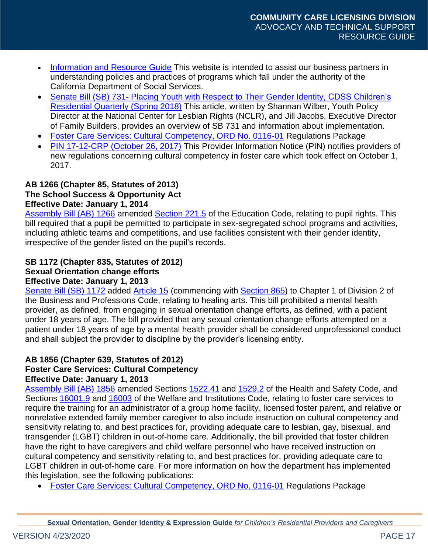- [Information and Resource Guide](http://www.cdss.ca.gov/inforesources) This website is intended to assist our business partners in understanding policies and practices of programs which fall under the authority of the California Department of Social Services.
- Senate Bill (SB) 731- [Placing Youth with Respect to Their Gender Identity,](http://www.cdss.ca.gov/LinkClick.aspx?fileticket=NP-PepXZCuM%3d&portalid=9) CDSS Children's Residential Quarterly (Spring 2018) This article, written by Shannan Wilber, Youth Policy Director at the National Center for Lesbian Rights (NCLR), and Jill Jacobs, Executive Director of Family Builders, provides an overview of SB 731 and information about implementation.
- [Foster Care Services: Cultural Competency, ORD No. 0116-01](http://www.cdss.ca.gov/inforesources/Post-Hearing-Regulations/ORD-No-0116-01) Regulations Package
- [PIN 17-12-CRP \(October 26, 2017\)](http://www.cdss.ca.gov/Portals/9/Users/106/06/106/PIN_17-12-CRP_10.26.17.pdf?ver=2017-10-26-105325-597) This Provider Information Notice (PIN) notifies providers of new regulations concerning cultural competency in foster care which took effect on October 1, 2017.

#### **AB 1266 (Chapter 85, Statutes of 2013) The School Success & Opportunity Act Effective Date: January 1, 2014**

[Assembly Bill \(AB\) 1266](https://leginfo.legislature.ca.gov/faces/billNavClient.xhtml?bill_id=201320140AB1266) amended [Section 221.5](http://leginfo.legislature.ca.gov/faces/codes_displaySection.xhtml?sectionNum=221.5&lawCode=EDC) of the Education Code, relating to pupil rights. This bill required that a pupil be permitted to participate in sex-segregated school programs and activities, including athletic teams and competitions, and use facilities consistent with their gender identity, irrespective of the gender listed on the pupil's records.

#### **SB 1172 (Chapter 835, Statutes of 2012) Sexual Orientation change efforts Effective Date: January 1, 2013**

[Senate Bill \(SB\) 1172](http://leginfo.legislature.ca.gov/faces/billNavClient.xhtml?bill_id=201120120SB1172) added [Article 15](http://leginfo.legislature.ca.gov/faces/codes_displaySection.xhtml?sectionNum=865&lawCode=BPC) (commencing with [Section 865\)](http://leginfo.legislature.ca.gov/faces/codes_displaySection.xhtml?sectionNum=865&lawCode=BPC) to Chapter 1 of Division 2 of the Business and Professions Code, relating to healing arts. This bill prohibited a mental health provider, as defined, from engaging in sexual orientation change efforts, as defined, with a patient under 18 years of age. The bill provided that any sexual orientation change efforts attempted on a patient under 18 years of age by a mental health provider shall be considered unprofessional conduct and shall subject the provider to discipline by the provider's licensing entity.

#### **AB 1856 (Chapter 639, Statutes of 2012) Foster Care Services: Cultural Competency Effective Date: January 1, 2013**

[Assembly Bill \(AB\) 1856](http://leginfo.legislature.ca.gov/faces/billNavClient.xhtml?bill_id=201120120AB1856) amended Sections [1522.41](http://leginfo.legislature.ca.gov/faces/codes_displaySection.xhtml?sectionNum=1522.41&lawCode=HSC) and [1529.2](http://leginfo.legislature.ca.gov/faces/codes_displaySection.xhtml?sectionNum=1529.2&lawCode=HSC) of the Health and Safety Code, and Sections [16001.9](http://leginfo.legislature.ca.gov/faces/codes_displaySection.xhtml?sectionNum=16001.9&lawCode=WIC) and [16003](http://leginfo.legislature.ca.gov/faces/codes_displaySection.xhtml?sectionNum=16003&lawCode=WIC) of the Welfare and Institutions Code, relating to foster care services to require the training for an administrator of a group home facility, licensed foster parent, and relative or nonrelative extended family member caregiver to also include instruction on cultural competency and sensitivity relating to, and best practices for, providing adequate care to lesbian, gay, bisexual, and transgender (LGBT) children in out-of-home care. Additionally, the bill provided that foster children have the right to have caregivers and child welfare personnel who have received instruction on cultural competency and sensitivity relating to, and best practices for, providing adequate care to LGBT children in out-of-home care. For more information on how the department has implemented this legislation, see the following publications:

• [Foster Care Services: Cultural Competency, ORD No. 0116-01](http://www.cdss.ca.gov/inforesources/Post-Hearing-Regulations/ORD-No-0116-01) Regulations Package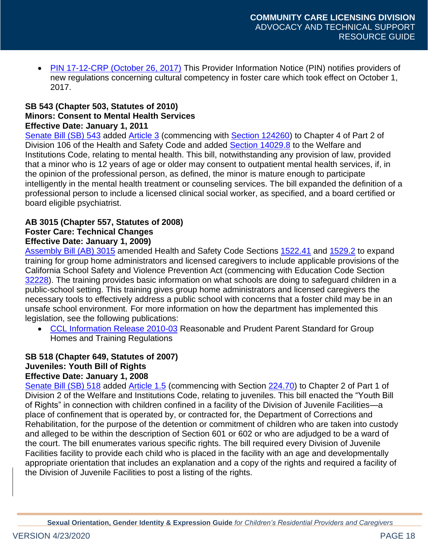• [PIN 17-12-CRP \(October 26, 2017\)](http://www.cdss.ca.gov/Portals/9/Users/106/06/106/PIN_17-12-CRP_10.26.17.pdf?ver=2017-10-26-105325-597) This Provider Information Notice (PIN) notifies providers of new regulations concerning cultural competency in foster care which took effect on October 1, 2017.

#### **SB 543 (Chapter 503, Statutes of 2010) Minors: Consent to Mental Health Services Effective Date: January 1, 2011**

[Senate Bill \(SB\) 543](http://leginfo.legislature.ca.gov/faces/billNavClient.xhtml?bill_id=200920100SB543) added [Article 3](http://leginfo.legislature.ca.gov/faces/codes_displaySection.xhtml?sectionNum=124260&lawCode=HSC) (commencing with [Section 124260\)](http://leginfo.legislature.ca.gov/faces/codes_displaySection.xhtml?sectionNum=124260&lawCode=HSC) to Chapter 4 of Part 2 of Division 106 of the Health and Safety Code and added [Section 14029.8](http://leginfo.legislature.ca.gov/faces/codes_displaySection.xhtml?sectionNum=14029.8&lawCode=WIC) to the Welfare and Institutions Code, relating to mental health. This bill, notwithstanding any provision of law, provided that a minor who is 12 years of age or older may consent to outpatient mental health services, if, in the opinion of the professional person, as defined, the minor is mature enough to participate intelligently in the mental health treatment or counseling services. The bill expanded the definition of a professional person to include a licensed clinical social worker, as specified, and a board certified or board eligible psychiatrist.

#### **AB 3015 (Chapter 557, Statutes of 2008) Foster Care: Technical Changes Effective Date: January 1, 2009)**

[Assembly Bill \(AB\)](http://leginfo.legislature.ca.gov/faces/billNavClient.xhtml?bill_id=200720080AB3015) 3015 amended Health and Safety Code Sections [1522.41](http://leginfo.legislature.ca.gov/faces/codes_displaySection.xhtml?sectionNum=1522.41&lawCode=HSC) and [1529.2](http://leginfo.legislature.ca.gov/faces/codes_displaySection.xhtml?sectionNum=1529.2&lawCode=HSC) to expand training for group home administrators and licensed caregivers to include applicable provisions of the California School Safety and Violence Prevention Act (commencing with Education Code Section [32228\)](http://leginfo.legislature.ca.gov/faces/codes_displaySection.xhtml?sectionNum=32228&lawCode=EDC). The training provides basic information on what schools are doing to safeguard children in a public-school setting. This training gives group home administrators and licensed caregivers the necessary tools to effectively address a public school with concerns that a foster child may be in an unsafe school environment. For more information on how the department has implemented this legislation, see the following publications:

• [CCL Information Release 2010-03](http://ccld.ca.gov/res/pdf/201003.pdf) Reasonable and Prudent Parent Standard for Group Homes and Training Regulations

#### **SB 518 (Chapter 649, Statutes of 2007) Juveniles: Youth Bill of Rights Effective Date: January 1, 2008**

[Senate Bill \(SB\) 518](http://leginfo.legislature.ca.gov/faces/billNavClient.xhtml?bill_id=200720080SB518) added [Article 1.5](http://leginfo.legislature.ca.gov/faces/codes_displaySection.xhtml?sectionNum=224.70&lawCode=WIC) (commencing with Section [224.70\)](http://leginfo.legislature.ca.gov/faces/codes_displaySection.xhtml?sectionNum=224.70&lawCode=WIC) to Chapter 2 of Part 1 of Division 2 of the Welfare and Institutions Code, relating to juveniles. This bill enacted the "Youth Bill of Rights" in connection with children confined in a facility of the Division of Juvenile Facilities—a place of confinement that is operated by, or contracted for, the Department of Corrections and Rehabilitation, for the purpose of the detention or commitment of children who are taken into custody and alleged to be within the description of Section 601 or 602 or who are adjudged to be a ward of the court. The bill enumerates various specific rights. The bill required every Division of Juvenile Facilities facility to provide each child who is placed in the facility with an age and developmentally appropriate orientation that includes an explanation and a copy of the rights and required a facility of the Division of Juvenile Facilities to post a listing of the rights.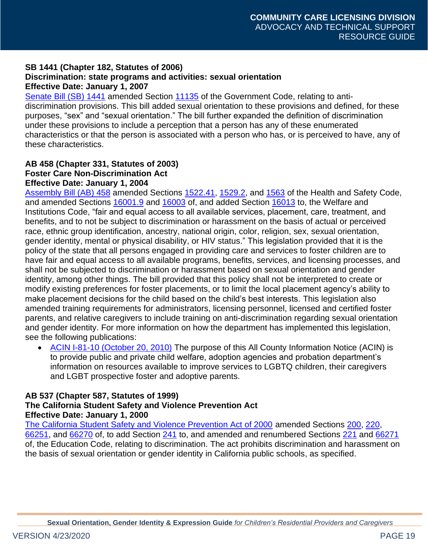#### **SB 1441 (Chapter 182, Statutes of 2006) Discrimination: state programs and activities: sexual orientation Effective Date: January 1, 2007**

[Senate Bill \(SB\) 1441](http://leginfo.legislature.ca.gov/faces/billNavClient.xhtml?bill_id=200520060SB1441) amended Section [11135](http://leginfo.legislature.ca.gov/faces/codes_displaySection.xhtml?sectionNum=11135&lawCode=GOV) of the Government Code, relating to antidiscrimination provisions. This bill added sexual orientation to these provisions and defined, for these purposes, "sex" and "sexual orientation." The bill further expanded the definition of discrimination under these provisions to include a perception that a person has any of these enumerated characteristics or that the person is associated with a person who has, or is perceived to have, any of these characteristics.

#### **AB 458 (Chapter 331, Statutes of 2003) Foster Care Non-Discrimination Act Effective Date: January 1, 2004**

[Assembly Bill \(AB\) 458](http://leginfo.legislature.ca.gov/faces/billNavClient.xhtml?bill_id=200320040AB458) amended Sections [1522.41,](http://leginfo.legislature.ca.gov/faces/codes_displaySection.xhtml?sectionNum=1522.41&lawCode=HSC) [1529.2,](http://leginfo.legislature.ca.gov/faces/codes_displaySection.xhtml?sectionNum=1529.2&lawCode=HSC) and [1563](http://leginfo.legislature.ca.gov/faces/codes_displaySection.xhtml?sectionNum=1563&lawCode=HSC) of the Health and Safety Code, and amended Sections [16001.9](http://leginfo.legislature.ca.gov/faces/codes_displaySection.xhtml?sectionNum=16001.9&lawCode=WIC) and [16003](http://leginfo.legislature.ca.gov/faces/codes_displaySection.xhtml?sectionNum=16003&lawCode=WIC) of, and added Section [16013](http://leginfo.legislature.ca.gov/faces/codes_displaySection.xhtml?sectionNum=16013&lawCode=WIC) to, the Welfare and Institutions Code, "fair and equal access to all available services, placement, care, treatment, and benefits, and to not be subject to discrimination or harassment on the basis of actual or perceived race, ethnic group identification, ancestry, national origin, color, religion, sex, sexual orientation, gender identity, mental or physical disability, or HIV status." This legislation provided that it is the policy of the state that all persons engaged in providing care and services to foster children are to have fair and equal access to all available programs, benefits, services, and licensing processes, and shall not be subjected to discrimination or harassment based on sexual orientation and gender identity, among other things. The bill provided that this policy shall not be interpreted to create or modify existing preferences for foster placements, or to limit the local placement agency's ability to make placement decisions for the child based on the child's best interests. This legislation also amended training requirements for administrators, licensing personnel, licensed and certified foster parents, and relative caregivers to include training on anti-discrimination regarding sexual orientation and gender identity. For more information on how the department has implemented this legislation, see the following publications:

• [ACIN I-81-10 \(October 20, 2010\)](http://www.cdss.ca.gov/lettersnotices/entres/getinfo/acin/2010/I-81_10.pdf) The purpose of this All County Information Notice (ACIN) is to provide public and private child welfare, adoption agencies and probation department's information on resources available to improve services to LGBTQ children, their caregivers and LGBT prospective foster and adoptive parents.

# **AB 537 (Chapter 587, Statutes of 1999)**

#### **The California Student Safety and Violence Prevention Act Effective Date: January 1, 2000**

[The California Student Safety and Violence Prevention Act of 2000](http://leginfo.legislature.ca.gov/faces/billNavClient.xhtml?bill_id=199920000AB537) amended Sections [200,](http://leginfo.legislature.ca.gov/faces/codes_displaySection.xhtml?sectionNum=200&lawCode=EDC) [220,](http://leginfo.legislature.ca.gov/faces/codes_displaySection.xhtml?sectionNum=220&lawCode=EDC) [66251,](http://leginfo.legislature.ca.gov/faces/codes_displaySection.xhtml?sectionNum=66251&lawCode=EDC) and [66270](http://leginfo.legislature.ca.gov/faces/codes_displaySection.xhtml?sectionNum=66270&lawCode=EDC) of, to add Section [241](http://leginfo.legislature.ca.gov/faces/codes_displaySection.xhtml?sectionNum=241&lawCode=EDC) to, and amended and renumbered Sections [221](http://leginfo.legislature.ca.gov/faces/codes_displaySection.xhtml?sectionNum=221&lawCode=EDC) and [66271](http://leginfo.legislature.ca.gov/faces/codes_displaySection.xhtml?sectionNum=66271&lawCode=EDC) of, the Education Code, relating to discrimination. The act prohibits discrimination and harassment on the basis of sexual orientation or gender identity in California public schools, as specified.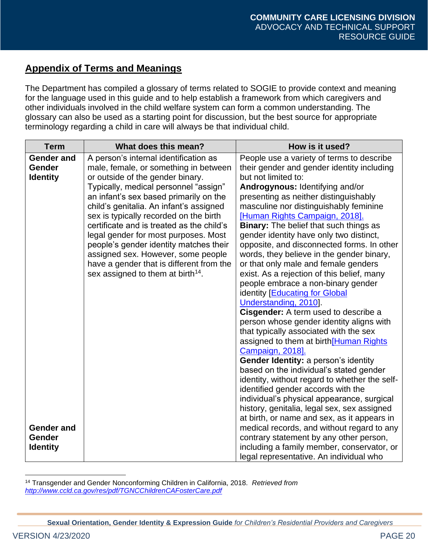# <span id="page-19-0"></span>**Appendix of Terms and Meanings**

The Department has compiled a glossary of terms related to SOGIE to provide context and meaning for the language used in this guide and to help establish a framework from which caregivers and other individuals involved in the child welfare system can form a common understanding. The glossary can also be used as a starting point for discussion, but the best source for appropriate terminology regarding a child in care will always be that individual child.

| <b>Term</b>                                    | What does this mean?                                                                                                                                                                                                                                                                                                                                                                                                                                                                                                                                         | How is it used?                                                                                                                                                                                                                                                                                                                                                                                                                                                                                                                                                                                                                                                                                                                                                                    |
|------------------------------------------------|--------------------------------------------------------------------------------------------------------------------------------------------------------------------------------------------------------------------------------------------------------------------------------------------------------------------------------------------------------------------------------------------------------------------------------------------------------------------------------------------------------------------------------------------------------------|------------------------------------------------------------------------------------------------------------------------------------------------------------------------------------------------------------------------------------------------------------------------------------------------------------------------------------------------------------------------------------------------------------------------------------------------------------------------------------------------------------------------------------------------------------------------------------------------------------------------------------------------------------------------------------------------------------------------------------------------------------------------------------|
| <b>Gender and</b><br>Gender<br><b>Identity</b> | A person's internal identification as<br>male, female, or something in between<br>or outside of the gender binary.<br>Typically, medical personnel "assign"<br>an infant's sex based primarily on the<br>child's genitalia. An infant's assigned<br>sex is typically recorded on the birth<br>certificate and is treated as the child's<br>legal gender for most purposes. Most<br>people's gender identity matches their<br>assigned sex. However, some people<br>have a gender that is different from the<br>sex assigned to them at birth <sup>14</sup> . | People use a variety of terms to describe<br>their gender and gender identity including<br>but not limited to:<br>Androgynous: Identifying and/or<br>presenting as neither distinguishably<br>masculine nor distinguishably feminine<br>[Human Rights Campaign, 2018].<br><b>Binary:</b> The belief that such things as<br>gender identity have only two distinct,<br>opposite, and disconnected forms. In other<br>words, they believe in the gender binary,<br>or that only male and female genders<br>exist. As a rejection of this belief, many<br>people embrace a non-binary gender<br>identity [Educating for Global<br>Understanding, 2010].<br>Cisgender: A term used to describe a<br>person whose gender identity aligns with<br>that typically associated with the sex |
| <b>Gender and</b><br>Gender<br><b>Identity</b> |                                                                                                                                                                                                                                                                                                                                                                                                                                                                                                                                                              | assigned to them at birth[Human Rights<br>Campaign, 2018].<br><b>Gender Identity: a person's identity</b><br>based on the individual's stated gender<br>identity, without regard to whether the self-<br>identified gender accords with the<br>individual's physical appearance, surgical<br>history, genitalia, legal sex, sex assigned<br>at birth, or name and sex, as it appears in<br>medical records, and without regard to any<br>contrary statement by any other person,<br>including a family member, conservator, or<br>legal representative. An individual who                                                                                                                                                                                                          |

<sup>14</sup> Transgender and Gender Nonconforming Children in California, 2018. *Retrieved from <http://www.ccld.ca.gov/res/pdf/TGNCChildrenCAFosterCare.pdf>*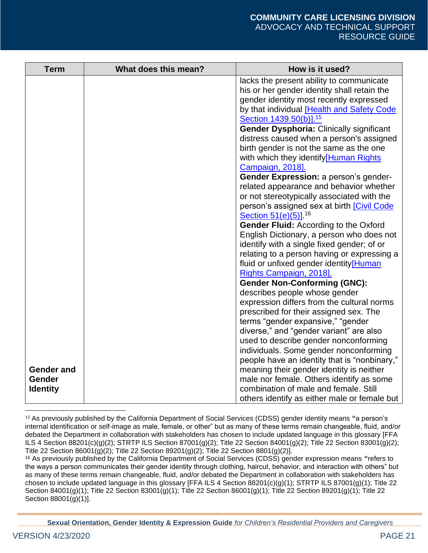| <b>Term</b>                 | What does this mean? | How is it used?                                                                                                                         |
|-----------------------------|----------------------|-----------------------------------------------------------------------------------------------------------------------------------------|
|                             |                      | lacks the present ability to communicate<br>his or her gender identity shall retain the<br>gender identity most recently expressed      |
|                             |                      | by that individual [Health and Safety Code<br>Section 1439.50(b)]. <sup>15</sup>                                                        |
|                             |                      | <b>Gender Dysphoria: Clinically significant</b><br>distress caused when a person's assigned                                             |
|                             |                      | birth gender is not the same as the one<br>with which they identify[Human Rights                                                        |
|                             |                      | Campaign, 2018].<br>Gender Expression: a person's gender-                                                                               |
|                             |                      | related appearance and behavior whether<br>or not stereotypically associated with the                                                   |
|                             |                      | person's assigned sex at birth [Civil Code<br>Section 51(e)(5)]. <sup>16</sup>                                                          |
|                             |                      | <b>Gender Fluid: According to the Oxford</b><br>English Dictionary, a person who does not<br>identify with a single fixed gender; of or |
|                             |                      | relating to a person having or expressing a<br>fluid or unfixed gender identity[Human                                                   |
|                             |                      | Rights Campaign, 2018].<br><b>Gender Non-Conforming (GNC):</b>                                                                          |
|                             |                      | describes people whose gender<br>expression differs from the cultural norms                                                             |
|                             |                      | prescribed for their assigned sex. The<br>terms "gender expansive," "gender                                                             |
|                             |                      | diverse," and "gender variant" are also<br>used to describe gender nonconforming                                                        |
|                             |                      | individuals. Some gender nonconforming<br>people have an identity that is "nonbinary,"                                                  |
| <b>Gender and</b><br>Gender |                      | meaning their gender identity is neither<br>male nor female. Others identify as some                                                    |
| <b>Identity</b>             |                      | combination of male and female. Still<br>others identify as either male or female but                                                   |

<sup>15</sup> As previously published by the California Department of Social Services (CDSS) gender identity means **"**a person's internal identification or self-image as male, female, or other" but as many of these terms remain changeable, fluid, and/or debated the Department in collaboration with stakeholders has chosen to include updated language in this glossary [FFA ILS 4 Section 88201(c)(g)(2); STRTP ILS Section 87001(g)(2); Title 22 Section 84001(g)(2); Title 22 Section 83001(g)(2); Title 22 Section  $86001(g)(2)$ ; Title 22 Section 89201(g)(2); Title 22 Section 8801(g)(2)].

<sup>16</sup> As previously published by the California Department of Social Services (CDSS) gender expression means **"**refers to the ways a person communicates their gender identity through clothing, haircut, behavior, and interaction with others" but as many of these terms remain changeable, fluid, and/or debated the Department in collaboration with stakeholders has chosen to include updated language in this glossary [FFA ILS 4 Section 88201(c)(g)(1); STRTP ILS 87001(g)(1); Title 22 Section 84001(g)(1); Title 22 Section 83001(g)(1); Title 22 Section 86001(g)(1); Title 22 Section 89201(g)(1); Title 22 Section 88001(g)(1)].

**Sexual Orientation, Gender Identity & Expression Guide** *for Children's Residential Providers and Caregivers*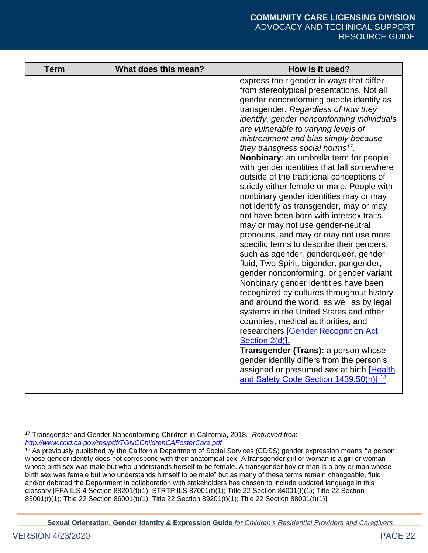<sup>17</sup> Transgender and Gender Nonconforming Children in California, 2018. *Retrieved from <http://www.ccld.ca.gov/res/pdf/TGNCChildrenCAFosterCare.pdf>*

<sup>18</sup> As previously published by the California Department of Social Services (CDSS) gender expression means **"**a person whose gender identity does not correspond with their anatomical sex. A transgender girl or woman is a girl or woman whose birth sex was male but who understands herself to be female. A transgender boy or man is a boy or man whose birth sex was female but who understands himself to be male" but as many of these terms remain changeable, fluid, and/or debated the Department in collaboration with stakeholders has chosen to include updated language in this glossary [FFA ILS 4 Section 88201(t)(1); STRTP ILS 87001(t)(1); Title 22 Section 84001(t)(1); Title 22 Section 83001(t)(1); Title 22 Section 86001(t)(1); Title 22 Section 89201(t)(1); Title 22 Section 88001(t)(1)].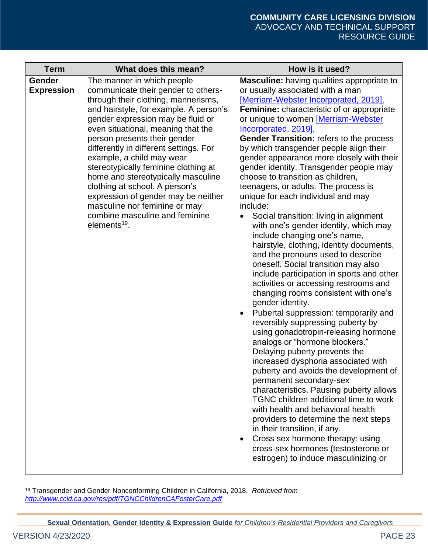| <b>Term</b>                 | What does this mean?                                                                                                                                                                                                                                                                                                                                                                                                                                                                                                                                                                       | How is it used?                                                                                                                                                                                                                                                                                                                                                                                                                                                                                                                                                                                                                                                                                                                                                                                                                                                                                                                                                                                                                                                                                                                                                                                                                                                                                                                                                                                                                                                                                                                                                                                            |
|-----------------------------|--------------------------------------------------------------------------------------------------------------------------------------------------------------------------------------------------------------------------------------------------------------------------------------------------------------------------------------------------------------------------------------------------------------------------------------------------------------------------------------------------------------------------------------------------------------------------------------------|------------------------------------------------------------------------------------------------------------------------------------------------------------------------------------------------------------------------------------------------------------------------------------------------------------------------------------------------------------------------------------------------------------------------------------------------------------------------------------------------------------------------------------------------------------------------------------------------------------------------------------------------------------------------------------------------------------------------------------------------------------------------------------------------------------------------------------------------------------------------------------------------------------------------------------------------------------------------------------------------------------------------------------------------------------------------------------------------------------------------------------------------------------------------------------------------------------------------------------------------------------------------------------------------------------------------------------------------------------------------------------------------------------------------------------------------------------------------------------------------------------------------------------------------------------------------------------------------------------|
| Gender<br><b>Expression</b> | The manner in which people<br>communicate their gender to others-<br>through their clothing, mannerisms,<br>and hairstyle, for example. A person's<br>gender expression may be fluid or<br>even situational, meaning that the<br>person presents their gender<br>differently in different settings. For<br>example, a child may wear<br>stereotypically feminine clothing at<br>home and stereotypically masculine<br>clothing at school. A person's<br>expression of gender may be neither<br>masculine nor feminine or may<br>combine masculine and feminine<br>elements <sup>19</sup> . | <b>Masculine:</b> having qualities appropriate to<br>or usually associated with a man<br>[Merriam-Webster Incorporated, 2019].<br><b>Feminine:</b> characteristic of or appropriate<br>or unique to women [Merriam-Webster<br>Incorporated, 2019].<br><b>Gender Transition: refers to the process</b><br>by which transgender people align their<br>gender appearance more closely with their<br>gender identity. Transgender people may<br>choose to transition as children,<br>teenagers, or adults. The process is<br>unique for each individual and may<br>include:<br>Social transition: living in alignment<br>with one's gender identity, which may<br>include changing one's name,<br>hairstyle, clothing, identity documents,<br>and the pronouns used to describe<br>oneself. Social transition may also<br>include participation in sports and other<br>activities or accessing restrooms and<br>changing rooms consistent with one's<br>gender identity.<br>Pubertal suppression: temporarily and<br>reversibly suppressing puberty by<br>using gonadotropin-releasing hormone<br>analogs or "hormone blockers."<br>Delaying puberty prevents the<br>increased dysphoria associated with<br>puberty and avoids the development of<br>permanent secondary-sex<br>characteristics. Pausing puberty allows<br>TGNC children additional time to work<br>with health and behavioral health<br>providers to determine the next steps<br>in their transition, if any.<br>Cross sex hormone therapy: using<br>$\bullet$<br>cross-sex hormones (testosterone or<br>estrogen) to induce masculinizing or |

<sup>19</sup> Transgender and Gender Nonconforming Children in California, 2018. *Retrieved from <http://www.ccld.ca.gov/res/pdf/TGNCChildrenCAFosterCare.pdf>*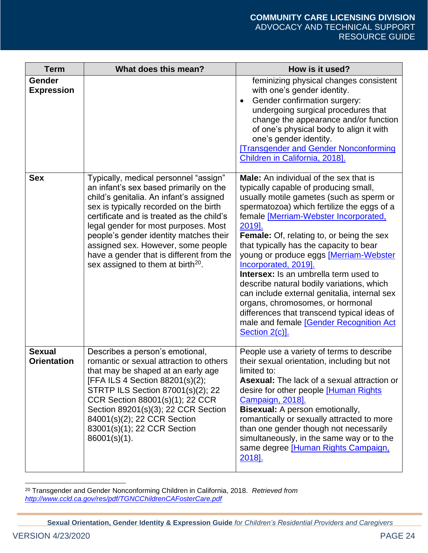| <b>Term</b>                         | What does this mean?                                                                                                                                                                                                                                                                                                                                                                                                                   | How is it used?                                                                                                                                                                                                                                                                                                                                                                                                                                                                                                                                                                                                                                                                                   |
|-------------------------------------|----------------------------------------------------------------------------------------------------------------------------------------------------------------------------------------------------------------------------------------------------------------------------------------------------------------------------------------------------------------------------------------------------------------------------------------|---------------------------------------------------------------------------------------------------------------------------------------------------------------------------------------------------------------------------------------------------------------------------------------------------------------------------------------------------------------------------------------------------------------------------------------------------------------------------------------------------------------------------------------------------------------------------------------------------------------------------------------------------------------------------------------------------|
| Gender<br><b>Expression</b>         |                                                                                                                                                                                                                                                                                                                                                                                                                                        | feminizing physical changes consistent<br>with one's gender identity.<br>Gender confirmation surgery:<br>$\bullet$<br>undergoing surgical procedures that<br>change the appearance and/or function<br>of one's physical body to align it with<br>one's gender identity.<br><b>Transgender and Gender Nonconforming</b><br>Children in California, 2018].                                                                                                                                                                                                                                                                                                                                          |
| <b>Sex</b>                          | Typically, medical personnel "assign"<br>an infant's sex based primarily on the<br>child's genitalia. An infant's assigned<br>sex is typically recorded on the birth<br>certificate and is treated as the child's<br>legal gender for most purposes. Most<br>people's gender identity matches their<br>assigned sex. However, some people<br>have a gender that is different from the<br>sex assigned to them at birth <sup>20</sup> . | <b>Male:</b> An individual of the sex that is<br>typically capable of producing small,<br>usually motile gametes (such as sperm or<br>spermatozoa) which fertilize the eggs of a<br>female [Merriam-Webster Incorporated,<br>2019].<br><b>Female:</b> Of, relating to, or being the sex<br>that typically has the capacity to bear<br>young or produce eggs [Merriam-Webster<br>Incorporated, 2019].<br><b>Intersex:</b> Is an umbrella term used to<br>describe natural bodily variations, which<br>can include external genitalia, internal sex<br>organs, chromosomes, or hormonal<br>differences that transcend typical ideas of<br>male and female [Gender Recognition Act<br>Section 2(c)]. |
| <b>Sexual</b><br><b>Orientation</b> | Describes a person's emotional,<br>romantic or sexual attraction to others<br>that may be shaped at an early age<br>[FFA ILS 4 Section 88201(s)(2);<br>STRTP ILS Section 87001(s)(2); 22<br>CCR Section 88001(s)(1); 22 CCR<br>Section 89201(s)(3); 22 CCR Section<br>84001(s)(2); 22 CCR Section<br>83001(s)(1); 22 CCR Section<br>$86001(s)(1)$ .                                                                                    | People use a variety of terms to describe<br>their sexual orientation, including but not<br>limited to:<br><b>Asexual:</b> The lack of a sexual attraction or<br>desire for other people [Human Rights<br>Campaign, 2018].<br>Bisexual: A person emotionally,<br>romantically or sexually attracted to more<br>than one gender though not necessarily<br>simultaneously, in the same way or to the<br>same degree [Human Rights Campaign,<br><u>2018].</u>                                                                                                                                                                                                                                        |

<sup>20</sup> Transgender and Gender Nonconforming Children in California, 2018. *Retrieved from <http://www.ccld.ca.gov/res/pdf/TGNCChildrenCAFosterCare.pdf>*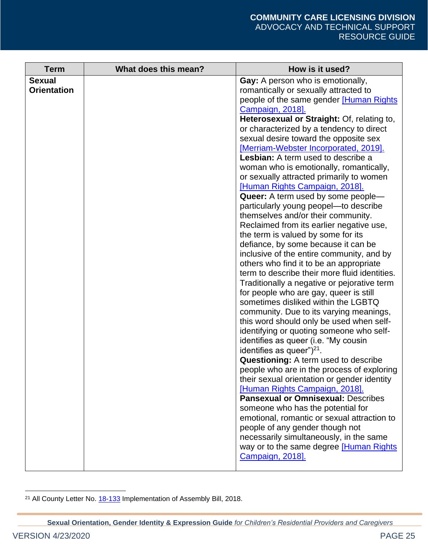| <b>Term</b>                         | What does this mean? | How is it used?                                                                                                                                                                                                                                                                                                                                                                                                                                                                                                                                                                                                                                                                                                                                                                                                                                                                                                                                                                                                                                                                                                                                                                                                                                                                                                                                                                                                                                                                                                                                                                                                                                                                          |
|-------------------------------------|----------------------|------------------------------------------------------------------------------------------------------------------------------------------------------------------------------------------------------------------------------------------------------------------------------------------------------------------------------------------------------------------------------------------------------------------------------------------------------------------------------------------------------------------------------------------------------------------------------------------------------------------------------------------------------------------------------------------------------------------------------------------------------------------------------------------------------------------------------------------------------------------------------------------------------------------------------------------------------------------------------------------------------------------------------------------------------------------------------------------------------------------------------------------------------------------------------------------------------------------------------------------------------------------------------------------------------------------------------------------------------------------------------------------------------------------------------------------------------------------------------------------------------------------------------------------------------------------------------------------------------------------------------------------------------------------------------------------|
| <b>Sexual</b><br><b>Orientation</b> |                      | Gay: A person who is emotionally,<br>romantically or sexually attracted to<br>people of the same gender [Human Rights<br>Campaign, 2018].<br>Heterosexual or Straight: Of, relating to,<br>or characterized by a tendency to direct<br>sexual desire toward the opposite sex<br>[Merriam-Webster Incorporated, 2019].<br>Lesbian: A term used to describe a<br>woman who is emotionally, romantically,<br>or sexually attracted primarily to women<br><b>Human Rights Campaign, 2018</b> .<br><b>Queer:</b> A term used by some people—<br>particularly young peopel-to describe<br>themselves and/or their community.<br>Reclaimed from its earlier negative use,<br>the term is valued by some for its<br>defiance, by some because it can be<br>inclusive of the entire community, and by<br>others who find it to be an appropriate<br>term to describe their more fluid identities.<br>Traditionally a negative or pejorative term<br>for people who are gay, queer is still<br>sometimes disliked within the LGBTQ<br>community. Due to its varying meanings,<br>this word should only be used when self-<br>identifying or quoting someone who self-<br>identifies as queer (i.e. "My cousin<br>identifies as queer") $21$ .<br>Questioning: A term used to describe<br>people who are in the process of exploring<br>their sexual orientation or gender identity<br>[Human Rights Campaign, 2018].<br><b>Pansexual or Omnisexual: Describes</b><br>someone who has the potential for<br>emotional, romantic or sexual attraction to<br>people of any gender though not<br>necessarily simultaneously, in the same<br>way or to the same degree [Human Rights<br>Campaign, 2018]. |
|                                     |                      |                                                                                                                                                                                                                                                                                                                                                                                                                                                                                                                                                                                                                                                                                                                                                                                                                                                                                                                                                                                                                                                                                                                                                                                                                                                                                                                                                                                                                                                                                                                                                                                                                                                                                          |

<sup>&</sup>lt;sup>21</sup> All County Letter No. **18-133** Implementation of Assembly Bill, 2018.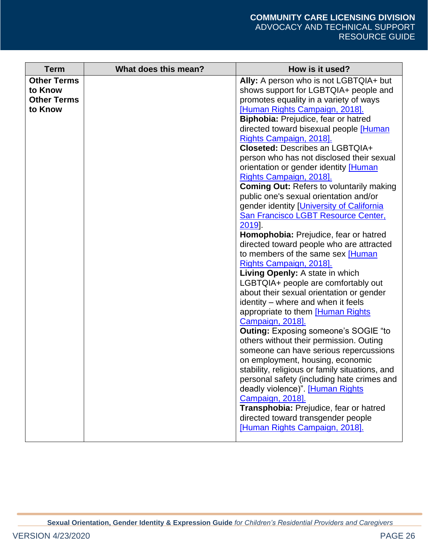| <b>Term</b>                                                    | What does this mean? | How is it used?                                                                                                                                                                                                                                                                                                                                                                                                                                                                                                                                                                                                                                                                                                                                                                                                                                                                                                                                                                                                                                                                                                                                                                                                                                                                                                                                                                                                                                               |
|----------------------------------------------------------------|----------------------|---------------------------------------------------------------------------------------------------------------------------------------------------------------------------------------------------------------------------------------------------------------------------------------------------------------------------------------------------------------------------------------------------------------------------------------------------------------------------------------------------------------------------------------------------------------------------------------------------------------------------------------------------------------------------------------------------------------------------------------------------------------------------------------------------------------------------------------------------------------------------------------------------------------------------------------------------------------------------------------------------------------------------------------------------------------------------------------------------------------------------------------------------------------------------------------------------------------------------------------------------------------------------------------------------------------------------------------------------------------------------------------------------------------------------------------------------------------|
| <b>Other Terms</b><br>to Know<br><b>Other Terms</b><br>to Know |                      | Ally: A person who is not LGBTQIA+ but<br>shows support for LGBTQIA+ people and<br>promotes equality in a variety of ways<br><b>Human Rights Campaign, 2018].</b><br>Biphobia: Prejudice, fear or hatred<br>directed toward bisexual people [Human<br>Rights Campaign, 2018].<br><b>Closeted: Describes an LGBTQIA+</b><br>person who has not disclosed their sexual<br>orientation or gender identity [Human<br>Rights Campaign, 2018].<br><b>Coming Out: Refers to voluntarily making</b><br>public one's sexual orientation and/or<br>gender identity [University of California<br>San Francisco LGBT Resource Center,<br>2019<br>Homophobia: Prejudice, fear or hatred<br>directed toward people who are attracted<br>to members of the same sex [Human<br>Rights Campaign, 2018].<br>Living Openly: A state in which<br>LGBTQIA+ people are comfortably out<br>about their sexual orientation or gender<br>identity – where and when it feels<br>appropriate to them [Human Rights<br>Campaign, 2018].<br><b>Outing: Exposing someone's SOGIE "to</b><br>others without their permission. Outing<br>someone can have serious repercussions<br>on employment, housing, economic<br>stability, religious or family situations, and<br>personal safety (including hate crimes and<br>deadly violence)". [Human Rights<br>Campaign, 2018].<br>Transphobia: Prejudice, fear or hatred<br>directed toward transgender people<br>[Human Rights Campaign, 2018]. |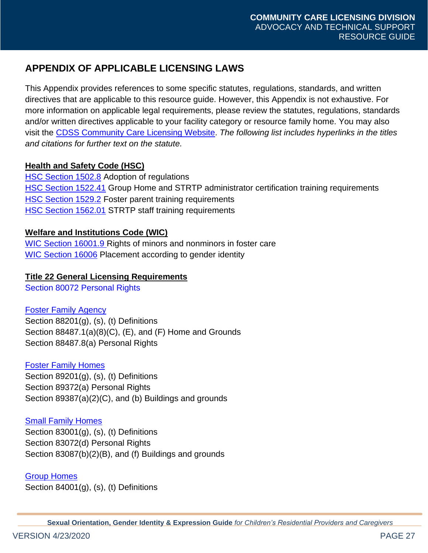# <span id="page-26-0"></span>**APPENDIX OF APPLICABLE LICENSING LAWS**

This Appendix provides references to some specific statutes, regulations, standards, and written directives that are applicable to this resource guide. However, this Appendix is not exhaustive. For more information on applicable legal requirements, please review the statutes, regulations, standards and/or written directives applicable to your facility category or resource family home. You may also visit the [CDSS Community Care Licensing Website.](http://www.cdss.ca.gov/inforesources/Community-Care-Licensing) *The following list includes hyperlinks in the titles and citations for further text on the statute.* 

# **Health and Safety Code (HSC)**

[HSC Section 1502.8](http://leginfo.legislature.ca.gov/faces/codes_displaySection.xhtml?sectionNum=1502.8&lawCode=HSC) Adoption of regulations [HSC Section 1522.41](http://leginfo.legislature.ca.gov/faces/codes_displaySection.xhtml?sectionNum=1522.41&lawCode=HSC) Group Home and STRTP administrator certification training requirements **[HSC Section 1529.2](http://leginfo.legislature.ca.gov/faces/codes_displaySection.xhtml?sectionNum=1529.2&lawCode=HSC) Foster parent training requirements [HSC Section 1562.01](http://leginfo.legislature.ca.gov/faces/codes_displaySection.xhtml?sectionNum=1562.01&lawCode=HSC) STRTP staff training requirements** 

# **Welfare and Institutions Code (WIC)**

[WIC Section 16001.9 Rights of minors and nonminors in foster care](http://leginfo.legislature.ca.gov/faces/codes_displaySection.xhtml?sectionNum=16001.9&lawCode=WIC) [WIC Section 16006](http://leginfo.legislature.ca.gov/faces/codes_displaySection.xhtml?sectionNum=16006&lawCode=WIC) Placement according to gender identity

# **[Title 22 General Licensing Requirements](http://www.cdss.ca.gov/Portals/9/Regs/genman1.pdf?ver=2017-05-16-094139-067)**

[Section 80072 Personal Rights](http://www.cdss.ca.gov/Portals/9/Regs/genman3.pdf?ver=2017-05-16-094454-390)

# [Foster Family Agency](http://www.cdss.ca.gov/Portals/9/Regs/ffaman.pdf?ver=2017-09-29-101504-190)

Section 88201(g), (s), (t) Definitions Section 88487.1(a)(8)(C), (E), and (F) Home and Grounds Section 88487.8(a) Personal Rights

# [Foster Family Homes](http://www.cdss.ca.gov/Portals/9/Regs/ffhman1.pdf?ver=2017-09-29-101647-710)

Section 89201(g), (s), (t) Definitions Section 89372(a) Personal Rights Section 89387(a)(2)(C), and (b) Buildings and grounds

# [Small Family Homes](http://www.cdss.ca.gov/Portals/9/Regs/sfhman.pdf?ver=2017-09-29-102105-817)

Section 83001(g), (s), (t) Definitions [Section 83072\(d\) Personal Rights](http://www.cdss.ca.gov/Portals/9/Regs/sfhman.pdf?ver=2017-09-29-102105-817) Section 83087(b)(2)(B), and (f) Buildings and grounds

#### [Group Homes](http://www.cdss.ca.gov/Portals/9/Regs/ghman1.pdf?ver=2017-09-29-102427-710)

Section 84001(g), (s), (t) Definitions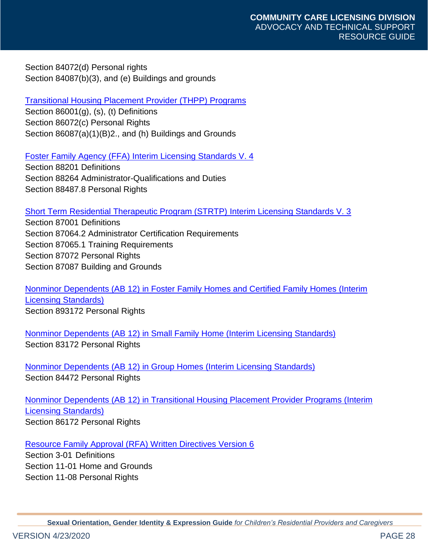Section 84072(d) Personal rights Section 84087(b)(3), and (e) Buildings and grounds

# [Transitional Housing Placement Provider](http://www.cdss.ca.gov/Portals/9/Regs/thppman1.pdf?ver=2017-09-29-102218-287) (THPP) Programs

Section 86001(g), (s), (t) Definitions Section 86072(c) Personal Rights Section 86087(a)(1)(B)2., and (h) Buildings and Grounds

#### Foster Family Agency (FFA) [Interim Licensing Standards V. 4](http://www.cdss.ca.gov/Portals/9/Children)

Section 88201 Definitions Section 88264 Administrator-Qualifications and Duties [Section 88487.8 Personal Rights](http://www.cdss.ca.gov/Portals/9/Children)

#### [Short Term Residential Therapeutic Program \(STRTP\)](http://www.cdss.ca.gov/Portals/9/Children) Interim Licensing Standards V. 3

Section 87001 Definitions Section 87064.2 Administrator Certification Requirements Section 87065.1 Training Requirements Section 87072 Personal Rights Section 87087 Building and Grounds

[Nonminor Dependents \(AB 12\)](http://ccld.ca.gov/res/pdf/AB12ffhcfh.pdf) in Foster Family Homes and Certified Family Homes (Interim [Licensing Standards\)](http://ccld.ca.gov/res/pdf/AB12ffhcfh.pdf) Section 893172 Personal Rights

Nonminor Dependents (AB 12) in Small Family Home [\(Interim Licensing Standards\)](http://ccld.ca.gov/res/pdf/AB12sfh.pdf) Section 83172 Personal Rights

Nonminor Dependents (AB 12) in Group Homes [\(Interim Licensing Standards\)](http://ccld.ca.gov/res/pdf/AB12gh.pdf) Section 84472 Personal Rights

Nonminor Dependents (AB 12) [in Transitional Housing Placement Provider Programs](http://ccld.ca.gov/res/pdf/AB12thpp.pdf) (Interim [Licensing Standards\)](http://ccld.ca.gov/res/pdf/AB12thpp.pdf) Section 86172 Personal Rights

#### [Resource Family Approval \(RFA\) Written Directives Version 6](http://www.cdss.ca.gov/Portals/9/CCR/RFA/Final%20V6%20RFA%20WD-4.11.19.pdf?ver=2019-05-08-142829-903)

Section 3-01 Definitions Section 11-01 Home and Grounds Section 11-08 Personal Rights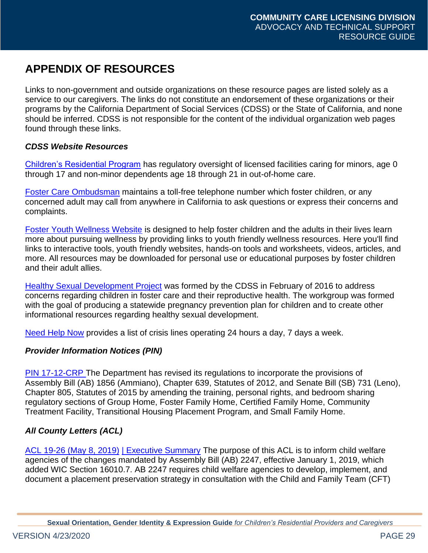# <span id="page-28-0"></span>**APPENDIX OF RESOURCES**

Links to non-government and outside organizations on these resource pages are listed solely as a service to our caregivers. The links do not constitute an endorsement of these organizations or their programs by the California Department of Social Services (CDSS) or the State of California, and none should be inferred. CDSS is not responsible for the content of the individual organization web pages found through these links.

# *CDSS Website Resources*

[Children's Residential Program](http://www.cdss.ca.gov/inforesources/Childrens-Residential/Resources-for-Providers/Laws-and-Regulations) has regulatory oversight of licensed facilities caring for minors, age 0 through 17 and non-minor dependents age 18 through 21 in out-of-home care.

[Foster Care Ombudsman](http://www.cdss.ca.gov/cdssweb/entres/forms/English/pub379.pdf) maintains a toll-free telephone number which foster children, or any concerned adult may call from anywhere in California to ask questions or express their concerns and complaints.

[Foster Youth Wellness W](http://www.cdss.ca.gov/inforesources/Foster-Youth-Wellness-Project)ebsite is designed to help foster children and the adults in their lives learn more about pursuing wellness by providing links to youth friendly wellness resources. Here you'll find links to interactive tools, youth friendly websites, hands-on tools and worksheets, videos, articles, and more. All resources may be downloaded for personal use or educational purposes by foster children and their adult allies.

[Healthy Sexual Development Project](http://www.cdss.ca.gov/inforesources/Foster-Care/Healthy-Sexual-Development-Project) was formed by the CDSS in February of 2016 to address concerns regarding children in foster care and their reproductive health. The workgroup was formed with the goal of producing a statewide pregnancy prevention plan for children and to create other informational resources regarding healthy sexual development.

[Need Help Now](http://www.cdss.ca.gov/inforesources/Foster-Youth-Wellness-Project/Need-Help-Now) provides a list of crisis lines operating 24 hours a day, 7 days a week.

# *Provider Information Notices (PIN)*

[PIN 17-12-CRP](http://www.cdss.ca.gov/Portals/9/Users/106/06/106/PIN_17-12-CRP_10.26.17.pdf?ver=2017-10-26-105325-597) The Department has revised its regulations to incorporate the provisions of Assembly Bill (AB) 1856 (Ammiano), Chapter 639, Statutes of 2012, and Senate Bill (SB) 731 (Leno), Chapter 805, Statutes of 2015 by amending the training, personal rights, and bedroom sharing regulatory sections of Group Home, Foster Family Home, Certified Family Home, Community Treatment Facility, Transitional Housing Placement Program, and Small Family Home.

# *All County Letters (ACL)*

[ACL 19-26 \(May 8, 2019\)](http://www.cdss.ca.gov/Portals/9/ACL/2019/19-26.pdf?ver=2019-05-13-154257-380) [| Executive Summary](http://www.cdss.ca.gov/Portals/9/ACL/2019/19-26_ES.pdf?ver=2019-05-13-155022-890) The purpose of this ACL is to inform child welfare agencies of the changes mandated by Assembly Bill (AB) 2247, effective January 1, 2019, which added WIC Section 16010.7. AB 2247 requires child welfare agencies to develop, implement, and document a placement preservation strategy in consultation with the Child and Family Team (CFT)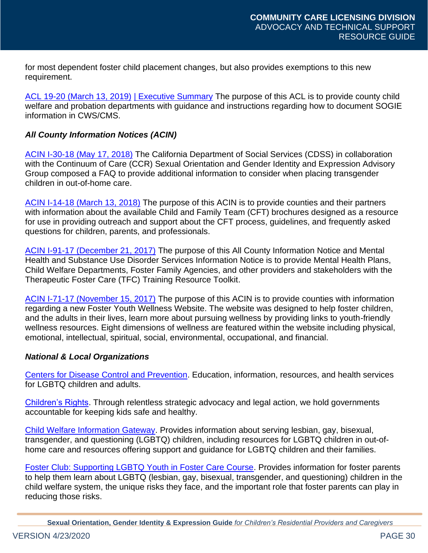for most dependent foster child placement changes, but also provides exemptions to this new requirement.

[ACL 19-20 \(March 13, 2019\)](http://www.cdss.ca.gov/Portals/9/ACL/2019/19-20.pdf?ver=2019-04-03-081756-557) [| Executive Summary](http://www.cdss.ca.gov/Portals/9/ACL/2019/19-20_ES.pdf?ver=2019-04-03-081807-637) The purpose of this ACL is to provide county child welfare and probation departments with guidance and instructions regarding how to document SOGIE information in CWS/CMS.

### *All County Information Notices (ACIN)*

[ACIN I-30-18 \(May 17, 2018\)](http://www.cdss.ca.gov/Portals/9/ACIN/2018/I-30_18.pdf?ver=2018-06-12-093442-617) The California Department of Social Services (CDSS) in collaboration with the Continuum of Care (CCR) Sexual Orientation and Gender Identity and Expression Advisory Group composed a FAQ to provide additional information to consider when placing transgender children in out-of-home care.

[ACIN I-14-18 \(March](http://www.cdss.ca.gov/Portals/9/ACIN/2018/I-14_18.pdf?ver=2018-03-14-115502-347) 13, 2018) The purpose of this ACIN is to provide counties and their partners with information about the available Child and Family Team (CFT) brochures designed as a resource for use in providing outreach and support about the CFT process, guidelines, and frequently asked questions for children, parents, and professionals.

[ACIN I-91-17 \(December 21, 2017\)](http://www.cdss.ca.gov/Portals/9/ACIN/2017/I-91_17.pdf?ver=2019-06-17-125008-950) The purpose of this All County Information Notice and Mental Health and Substance Use Disorder Services Information Notice is to provide Mental Health Plans, Child Welfare Departments, Foster Family Agencies, and other providers and stakeholders with the Therapeutic Foster Care (TFC) Training Resource Toolkit.

[ACIN I-71-17 \(November 15, 2017\)](http://www.cdss.ca.gov/Portals/9/ACIN/2017/I-71_17.pdf?ver=2019-06-17-124640-003) The purpose of this ACIN is to provide counties with information regarding a new Foster Youth Wellness Website. The website was designed to help foster children, and the adults in their lives, learn more about pursuing wellness by providing links to youth-friendly wellness resources. Eight dimensions of wellness are featured within the website including physical, emotional, intellectual, spiritual, social, environmental, occupational, and financial.

#### *National & Local Organizations*

[Centers for Disease Control and Prevention.](http://www.cdc.gov/lgbthealth/) Education, information, resources, and health services for LGBTQ children and adults.

[Children's Rights.](https://www.childrensrights.org/lgbtq-2/) Through relentless strategic advocacy and legal action, we hold governments accountable for keeping kids safe and healthy.

[Child Welfare Information Gateway.](https://www.childwelfare.gov/topics/systemwide/diverse-populations/lgbtq/) Provides information about serving lesbian, gay, bisexual, transgender, and questioning (LGBTQ) children, including resources for LGBTQ children in out-ofhome care and resources offering support and guidance for LGBTQ children and their families.

[Foster Club: Supporting LGBTQ Youth in Foster Care Course.](https://www.fosterclub.com/foster-parent-training/course/supporting-lgbtq-youth-foster-care) Provides information for foster parents to help them learn about LGBTQ (lesbian, gay, bisexual, transgender, and questioning) children in the child welfare system, the unique risks they face, and the important role that foster parents can play in reducing those risks.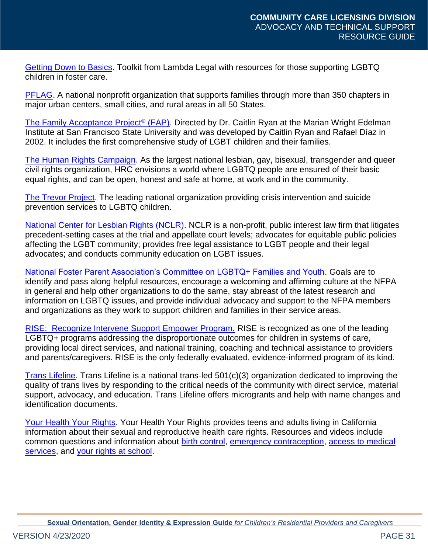[Getting Down to Basics.](http://www.lambdalegal.org/publications/%20getting-down-to-basics) Toolkit from Lambda Legal with resources for those supporting LGBTQ children in foster care.

[PFLAG.](https://pflag.org/) A national nonprofit organization that supports families through more than 350 chapters in major urban centers, small cities, and rural areas in all 50 States.

[The Family Acceptance Project](https://www.pandora.com/station/play/3567201361398282890)<sup>®</sup> (FAP). Directed by Dr. Caitlin Ryan at the Marian Wright Edelman Institute at San Francisco State University and was developed by Caitlin Ryan and Rafael Díaz in 2002. It includes the first comprehensive study of LGBT children and their families.

[The Human Rights Campaign.](https://www.hrc.org/) As the largest national lesbian, gay, bisexual, transgender and queer civil rights organization, HRC envisions a world where LGBTQ people are ensured of their basic equal rights, and can be open, honest and safe at home, at work and in the community.

[The Trevor Project.](http://www.thetrevorproject.org/pages/facts-about-suicide) The leading national organization providing crisis intervention and suicide prevention services to LGBTQ children.

[National Center for Lesbian Rights \(NCLR\).](http://www.nclrights.org/our-work/youth/youth-resources/) NCLR is a non-profit, public interest law firm that litigates precedent-setting cases at the trial and appellate court levels; advocates for equitable public policies affecting the LGBT community; provides free legal assistance to LGBT people and their legal advocates; and conducts community education on LGBT issues.

[National Foster Parent Association's Committee on LGBTQ+ Families and Youth.](https://nfpaonline.org/LGBTQ) Goals are to identify and pass along helpful resources, encourage a welcoming and affirming culture at the NFPA in general and help other organizations to do the same, stay abreast of the latest research and information on LGBTQ issues, and provide individual advocacy and support to the NFPA members and organizations as they work to support children and families in their service areas.

[RISE: Recognize Intervene Support Empower Program.](https://riselgbtq.org/) RISE is recognized as one of the leading LGBTQ+ programs addressing the disproportionate outcomes for children in systems of care, providing local direct services, and national training, coaching and technical assistance to providers and parents/caregivers. RISE is the only federally evaluated, evidence-informed program of its kind.

[Trans Lifeline.](https://www.translifeline.org/) Trans Lifeline is a national trans-led 501(c)(3) organization dedicated to improving the quality of trans lives by responding to the critical needs of the community with direct service, material support, advocacy, and education. Trans Lifeline offers microgrants and help with name changes and identification documents.

[Your Health Your Rights.](http://www.yourhealthyourrights.org/) Your Health Your Rights provides teens and adults living in California information about their sexual and reproductive health care rights. Resources and videos include common questions and information about [birth control,](https://www.youtube.com/watch?v=uZ6Tg-k5aa0) [emergency contraception,](https://www.youtube.com/watch?v=y9tgjLao068) [access to medical](https://www.youtube.com/watch?v=0RkYtZ1kBzo)  [services,](https://www.youtube.com/watch?v=0RkYtZ1kBzo) and [your rights at school.](http://www.yourhealthyourrights.org/index.php/for-teens/your-rights-at-school/)